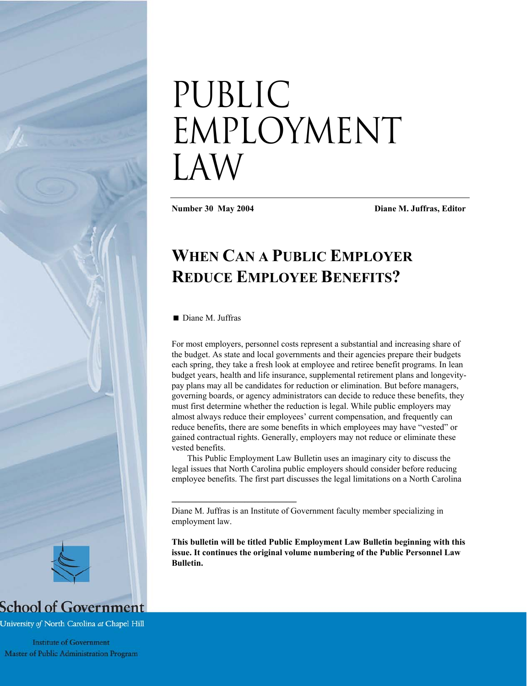# Public EMPLOYMENT Law

**Number 30 May 2004 Diane M. Juffras, Editor**

# **WHEN CAN A PUBLIC EMPLOYER REDUCE EMPLOYEE BENEFITS?**

Diane M. Juffras

\_\_\_\_\_\_\_\_\_\_\_\_\_\_\_\_\_\_\_\_\_\_\_\_\_\_\_\_\_\_\_\_\_\_\_\_

For most employers, personnel costs represent a substantial and increasing share of the budget. As state and local governments and their agencies prepare their budgets each spring, they take a fresh look at employee and retiree benefit programs. In lean budget years, health and life insurance, supplemental retirement plans and longevitypay plans may all be candidates for reduction or elimination. But before managers, governing boards, or agency administrators can decide to reduce these benefits, they must first determine whether the reduction is legal. While public employers may almost always reduce their employees' current compensation, and frequently can reduce benefits, there are some benefits in which employees may have "vested" or gained contractual rights. Generally, employers may not reduce or eliminate these vested benefits.

This Public Employment Law Bulletin uses an imaginary city to discuss the legal issues that North Carolina public employers should consider before reducing employee benefits. The first part discusses the legal limitations on a North Carolina

**This bulletin will be titled Public Employment Law Bulletin beginning with this issue. It continues the original volume numbering of the Public Personnel Law Bulletin.** 



# **School of Government**

University of North Carolina at Chapel Hill

**Institute of Government** Master of Public Administration Program

Diane M. Juffras is an Institute of Government faculty member specializing in employment law.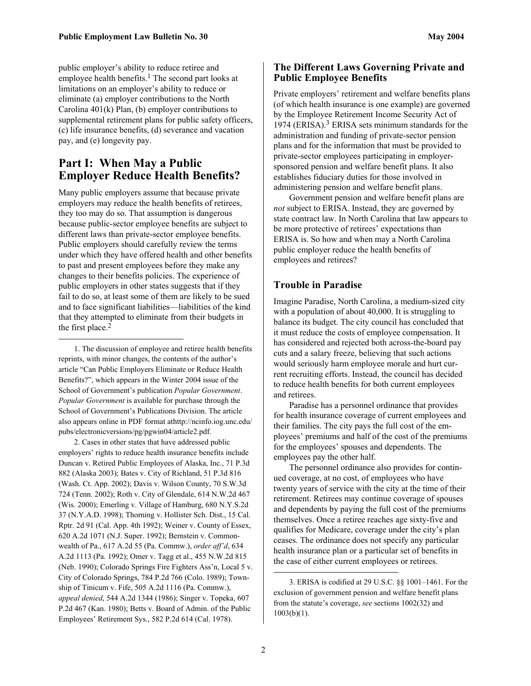public employer's ability to reduce retiree and employee health benefits.<sup>1</sup> The second part looks at limitations on an employer's ability to reduce or eliminate (a) employer contributions to the North Carolina 401(k) Plan, (b) employer contributions to supplemental retirement plans for public safety officers, (c) life insurance benefits, (d) severance and vacation pay, and (e) longevity pay.

# **Part I: When May a Public Employer Reduce Health Benefits?**

Many public employers assume that because private employers may reduce the health benefits of retirees, they too may do so. That assumption is dangerous because public-sector employee benefits are subject to different laws than private-sector employee benefits. Public employers should carefully review the terms under which they have offered health and other benefits to past and present employees before they make any changes to their benefits policies. The experience of public employers in other states suggests that if they fail to do so, at least some of them are likely to be sued and to face significant liabilities—liabilities of the kind that they attempted to eliminate from their budgets in the first place.<sup>2</sup>

<span id="page-1-0"></span>1. The discussion of employee and retiree health benefits reprints, with minor changes, the contents of the author's article "Can Public Employers Eliminate or Reduce Health Benefits?", which appears in the Winter 2004 issue of the School of Government's publication *Popular Government*. *Popular Government* is available for purchase through the School of Government's Publications Division. The article also appears online in PDF format athttp://ncinfo.iog.unc.edu/ pubs/electronicversions/pg/pgwin04/article2.pdf.

 $\overline{a}$ 

<span id="page-1-1"></span>2. Cases in other states that have addressed public employers' rights to reduce health insurance benefits include Duncan v. Retired Public Employees of Alaska, Inc., 71 P.3d 882 (Alaska 2003); Bates v. City of Richland, 51 P.3d 816 (Wash. Ct. App. 2002); Davis v. Wilson County, 70 S.W.3d 724 (Tenn. 2002); Roth v. City of Glendale, 614 N.W.2d 467 (Wis. 2000); Emerling v. Village of Hamburg, 680 N.Y.S.2d 37 (N.Y.A.D. 1998); Thorning v. Hollister Sch. Dist., 15 Cal. Rptr. 2d 91 (Cal. App. 4th 1992); Weiner v. County of Essex, 620 A.2d 1071 (N.J. Super. 1992); Bernstein v. Commonwealth of Pa., 617 A.2d 55 (Pa. Commw.), *order aff'd*, 634 A.2d 1113 (Pa. 1992); Omer v. Tagg et al., 455 N.W.2d 815 (Neb. 1990); Colorado Springs Fire Fighters Ass'n, Local 5 v. City of Colorado Springs, 784 P.2d 766 (Colo. 1989); Township of Tinicum v. Fife, 505 A.2d 1116 (Pa. Commw.), *appeal denied*, 544 A.2d 1344 (1986); Singer v. Topeka, 607 P.2d 467 (Kan. 1980); Betts v. Board of Admin. of the Public Employees' Retirement Sys., 582 P.2d 614 (Cal. 1978).

### **The Different Laws Governing Private and Public Employee Benefits**

Private employers' retirement and welfare benefits plans (of which health insurance is one example) are governed by the Employee Retirement Income Security Act of 1974 (ERISA).[3 E](#page-1-2)RISA sets minimum standards for the administration and funding of private-sector pension plans and for the information that must be provided to private-sector employees participating in employersponsored pension and welfare benefit plans. It also establishes fiduciary duties for those involved in administering pension and welfare benefit plans.

Government pension and welfare benefit plans are *not* subject to ERISA. Instead, they are governed by state contract law. In North Carolina that law appears to be more protective of retirees' expectations than ERISA is. So how and when may a North Carolina public employer reduce the health benefits of employees and retirees?

# **Trouble in Paradise**

Imagine Paradise, North Carolina, a medium-sized city with a population of about 40,000. It is struggling to balance its budget. The city council has concluded that it must reduce the costs of employee compensation. It has considered and rejected both across-the-board pay cuts and a salary freeze, believing that such actions would seriously harm employee morale and hurt current recruiting efforts. Instead, the council has decided to reduce health benefits for both current employees and retirees.

Paradise has a personnel ordinance that provides for health insurance coverage of current employees and their families. The city pays the full cost of the employees' premiums and half of the cost of the premiums for the employees' spouses and dependents. The employees pay the other half.

The personnel ordinance also provides for continued coverage, at no cost, of employees who have twenty years of service with the city at the time of their retirement. Retirees may continue coverage of spouses and dependents by paying the full cost of the premiums themselves. Once a retiree reaches age sixty-five and qualifies for Medicare, coverage under the city's plan ceases. The ordinance does not specify any particular health insurance plan or a particular set of benefits in the case of either current employees or retirees.

<span id="page-1-2"></span><sup>3.</sup> ERISA is codified at 29 U.S.C. §§ 1001–1461. For the exclusion of government pension and welfare benefit plans from the statute's coverage, *see* sections 1002(32) and  $1003(b)(1)$ .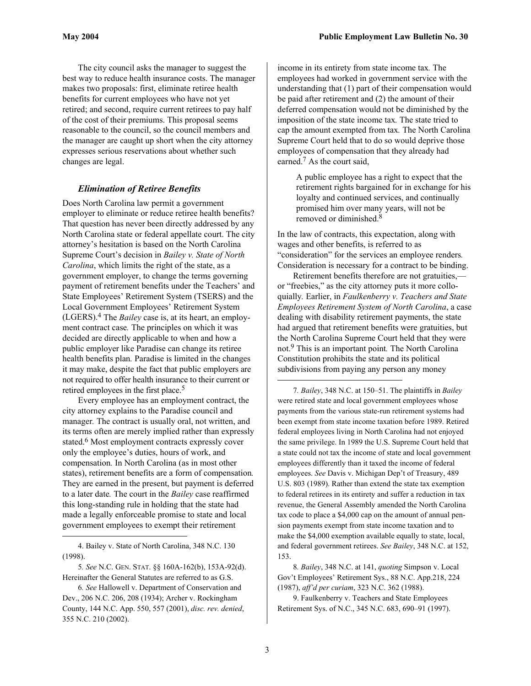The city council asks the manager to suggest the best way to reduce health insurance costs. The manager makes two proposals: first, eliminate retiree health benefits for current employees who have not yet retired; and second, require current retirees to pay half of the cost of their premiums. This proposal seems reasonable to the council, so the council members and the manager are caught up short when the city attorney expresses serious reservations about whether such changes are legal.

#### *Elimination of Retiree Benefits*

Does North Carolina law permit a government employer to eliminate or reduce retiree health benefits? That question has never been directly addressed by any North Carolina state or federal appellate court. The city attorney's hesitation is based on the North Carolina Supreme Court's decision in *Bailey v. State of North Carolina*, which limits the right of the state, as a government employer, to change the terms governing payment of retirement benefits under the Teachers' and State Employees' Retirement System (TSERS) and the Local Government Employees' Retirement System (LGERS). [4](#page-2-0) The *Bailey* case is, at its heart, an employment contract case*.* The principles on which it was decided are directly applicable to when and how a public employer like Paradise can change its retiree health benefits plan*.* Paradise is limited in the changes it may make, despite the fact that public employers are not required to offer health insurance to their current or retired employees in the first place.[5](#page-2-1)

Every employee has an employment contract, the city attorney explains to the Paradise council and manager*.* The contract is usually oral, not written, and its terms often are merely implied rather than expressly stated.<sup>6</sup> Most employment contracts expressly cover only the employee's duties, hours of work, and compensation*.* In North Carolina (as in most other states), retirement benefits are a form of compensation*.*  They are earned in the present, but payment is deferred to a later date*.* The court in the *Bailey* case reaffirmed this long-standing rule in holding that the state had made a legally enforceable promise to state and local government employees to exempt their retirement

<span id="page-2-0"></span>4. Bailey v. State of North Carolina, 348 N.C. 130 (1998).

 $\overline{a}$ 

<span id="page-2-1"></span>5*. See* N.C. GEN. STAT. §§ 160A-162(b), 153A-92(d). Hereinafter the General Statutes are referred to as G.S.

income in its entirety from state income tax*.* The employees had worked in government service with the understanding that (1) part of their compensation would be paid after retirement and (2) the amount of their deferred compensation would not be diminished by the imposition of the state income tax*.* The state tried to cap the amount exempted from tax*.* The North Carolina Supreme Court held that to do so would deprive those employees of compensation that they already had earned.<sup>7</sup> As the court said,

A public employee has a right to expect that the retirement rights bargained for in exchange for his loyalty and continued services, and continually promised him over many years, will not be removed or diminished[.8](#page-2-4)

In the law of contracts, this expectation, along with wages and other benefits, is referred to as "consideration" for the services an employee renders*.*  Consideration is necessary for a contract to be binding.

Retirement benefits therefore are not gratuities, or "freebies," as the city attorney puts it more colloquially*.* Earlier, in *Faulkenberry v. Teachers and State Employees Retirement System of North Carolina*, a case dealing with disability retirement payments, the state had argued that retirement benefits were gratuities, but the North Carolina Supreme Court held that they were not. [9 T](#page-2-5)his is an important point*.* The North Carolina Constitution prohibits the state and its political subdivisions from paying any person any money

<span id="page-2-3"></span>7*. Bailey*, 348 N.C. at 150–51. The plaintiffs in *Bailey* were retired state and local government employees whose payments from the various state-run retirement systems had been exempt from state income taxation before 1989. Retired federal employees living in North Carolina had not enjoyed the same privilege. In 1989 the U.S. Supreme Court held that a state could not tax the income of state and local government employees differently than it taxed the income of federal employees. *See* Davis v. Michigan Dep't of Treasury, 489 U.S. 803 (1989). Rather than extend the state tax exemption to federal retirees in its entirety and suffer a reduction in tax revenue, the General Assembly amended the North Carolina tax code to place a \$4,000 cap on the amount of annual pension payments exempt from state income taxation and to make the \$4,000 exemption available equally to state, local, and federal government retirees. *See Bailey*, 348 N.C. at 152, 153.

<span id="page-2-4"></span>8*. Bailey*, 348 N.C. at 141, *quoting* Simpson v. Local Gov't Employees' Retirement Sys., 88 N.C. App.218, 224 (1987), *aff'd per curiam*, 323 N.C. 362 (1988).

<span id="page-2-5"></span>9. Faulkenberry v. Teachers and State Employees Retirement Sys. of N.C., 345 N.C. 683, 690–91 (1997).

<span id="page-2-2"></span><sup>6</sup>*. See* Hallowell v. Department of Conservation and Dev., 206 N.C. 206, 208 (1934); Archer v. Rockingham County, 144 N.C. App. 550, 557 (2001), *disc. rev. denied*, 355 N.C. 210 (2002).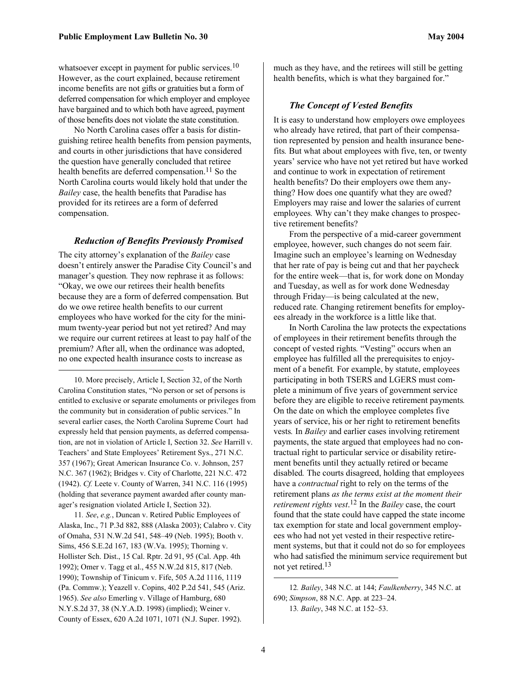whatsoever except in payment for public services.<sup>[10](#page-3-0)</sup> However, as the court explained, because retirement income benefits are not gifts or gratuities but a form of deferred compensation for which employer and employee have bargained and to which both have agreed, payment of those benefits does not violate the state constitution.

No North Carolina cases offer a basis for distinguishing retiree health benefits from pension payments, and courts in other jurisdictions that have considered the question have generally concluded that retiree health benefits are deferred compensation.<sup>11</sup> So the North Carolina courts would likely hold that under the *Bailey* case, the health benefits that Paradise has provided for its retirees are a form of deferred compensation.

#### *Reduction of Benefits Previously Promised*

The city attorney's explanation of the *Bailey* case doesn't entirely answer the Paradise City Council's and manager's question*.* They now rephrase it as follows: "Okay, we owe our retirees their health benefits because they are a form of deferred compensation*.* But do we owe retiree health benefits to our current employees who have worked for the city for the minimum twenty-year period but not yet retired? And may we require our current retirees at least to pay half of the premium? After all, when the ordinance was adopted, no one expected health insurance costs to increase as

 $\overline{a}$ 

<span id="page-3-0"></span>10. More precisely, Article I, Section 32, of the North Carolina Constitution states, "No person or set of persons is entitled to exclusive or separate emoluments or privileges from the community but in consideration of public services." In several earlier cases, the North Carolina Supreme Court had expressly held that pension payments, as deferred compensation, are not in violation of Article I, Section 32. *See* Harrill v. Teachers' and State Employees' Retirement Sys., 271 N.C. 357 (1967); Great American Insurance Co. v. Johnson, 257 N.C. 367 (1962); Bridges v. City of Charlotte, 221 N.C. 472 (1942). *Cf.* Leete v. County of Warren, 341 N.C. 116 (1995) (holding that severance payment awarded after county manager's resignation violated Article I, Section 32).

<span id="page-3-1"></span>11*. See*, *e.g.*, Duncan v. Retired Public Employees of Alaska, Inc., 71 P.3d 882, 888 (Alaska 2003); Calabro v. City of Omaha, 531 N.W.2d 541, 548–49 (Neb. 1995); Booth v. Sims, 456 S.E.2d 167, 183 (W.Va. 1995); Thorning v. Hollister Sch. Dist., 15 Cal. Rptr. 2d 91, 95 (Cal. App. 4th 1992); Omer v. Tagg et al., 455 N.W.2d 815, 817 (Neb. 1990); Township of Tinicum v. Fife, 505 A.2d 1116, 1119 (Pa. Commw.); Yeazell v. Copins, 402 P.2d 541, 545 (Ariz. 1965). *See also* Emerling v. Village of Hamburg, 680 N.Y.S.2d 37, 38 (N.Y.A.D. 1998) (implied); Weiner v. County of Essex, 620 A.2d 1071, 1071 (N.J. Super. 1992).

much as they have, and the retirees will still be getting health benefits, which is what they bargained for."

#### *The Concept of Vested Benefits*

It is easy to understand how employers owe employees who already have retired, that part of their compensation represented by pension and health insurance benefits*.* But what about employees with five, ten, or twenty years' service who have not yet retired but have worked and continue to work in expectation of retirement health benefits? Do their employers owe them anything? How does one quantify what they are owed? Employers may raise and lower the salaries of current employees*.* Why can't they make changes to prospective retirement benefits?

From the perspective of a mid-career government employee, however, such changes do not seem fair*.*  Imagine such an employee's learning on Wednesday that her rate of pay is being cut and that her paycheck for the entire week—that is, for work done on Monday and Tuesday, as well as for work done Wednesday through Friday—is being calculated at the new, reduced rate*.* Changing retirement benefits for employees already in the workforce is a little like that.

In North Carolina the law protects the expectations of employees in their retirement benefits through the concept of vested rights*.* "Vesting" occurs when an employee has fulfilled all the prerequisites to enjoyment of a benefit*.* For example, by statute, employees participating in both TSERS and LGERS must complete a minimum of five years of government service before they are eligible to receive retirement payments*.*  On the date on which the employee completes five years of service, his or her right to retirement benefits vests*.* In *Bailey* and earlier cases involving retirement payments, the state argued that employees had no contractual right to particular service or disability retirement benefits until they actually retired or became disabled*.* The courts disagreed, holding that employees have a *contractual* right to rely on the terms of the retirement plans *as the terms exist at the moment their retirement rights vest*. [12 I](#page-3-2)n the *Bailey* case, the court found that the state could have capped the state income tax exemption for state and local government employees who had not yet vested in their respective retirement systems, but that it could not do so for employees who had satisfied the minimum service requirement but not yet retired[.13](#page-3-3)

<span id="page-3-3"></span><span id="page-3-2"></span><sup>12</sup>*. Bailey*, 348 N.C. at 144; *Faulkenberry*, 345 N.C. at 690; *Simpson*, 88 N.C. App. at 223–24. 13*. Bailey*, 348 N.C. at 152–53.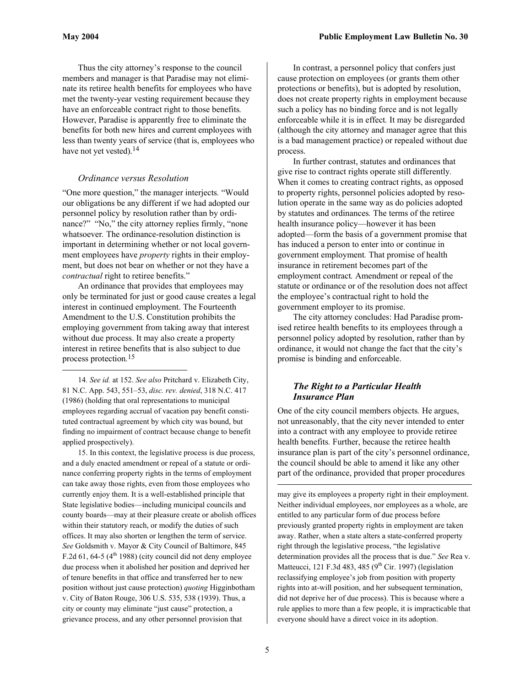$\overline{a}$ 

Thus the city attorney's response to the council members and manager is that Paradise may not eliminate its retiree health benefits for employees who have met the twenty-year vesting requirement because they have an enforceable contract right to those benefits*.*  However, Paradise is apparently free to eliminate the benefits for both new hires and current employees with less than twenty years of service (that is, employees who have not yet vested).<sup>[14](#page-4-0)</sup>

#### *Ordinance versus Resolution*

"One more question," the manager interjects*.* "Would our obligations be any different if we had adopted our personnel policy by resolution rather than by ordinance?" "No," the city attorney replies firmly, "none whatsoever*.* The ordinance-resolution distinction is important in determining whether or not local government employees have *property* rights in their employment, but does not bear on whether or not they have a *contractual* right to retiree benefits."

An ordinance that provides that employees may only be terminated for just or good cause creates a legal interest in continued employment. The Fourteenth Amendment to the U.S. Constitution prohibits the employing government from taking away that interest without due process. It may also create a property interest in retiree benefits that is also subject to due process protection*.* [15](#page-4-1) 

<span id="page-4-0"></span>14*. See id.* at 152. *See also* Pritchard v. Elizabeth City, 81 N.C. App. 543, 551–53, *disc. rev. denied*, 318 N.C. 417 (1986) (holding that oral representations to municipal employees regarding accrual of vacation pay benefit constituted contractual agreement by which city was bound, but finding no impairment of contract because change to benefit applied prospectively).

<span id="page-4-1"></span>15. In this context, the legislative process is due process, and a duly enacted amendment or repeal of a statute or ordinance conferring property rights in the terms of employment can take away those rights, even from those employees who currently enjoy them. It is a well-established principle that State legislative bodies—including municipal councils and county boards—may at their pleasure create or abolish offices within their statutory reach, or modify the duties of such offices. It may also shorten or lengthen the term of service. *See* Goldsmith v. Mayor & City Council of Baltimore, 845 F.2d 61, 64-5 ( $4<sup>th</sup>$  1988) (city council did not deny employee due process when it abolished her position and deprived her of tenure benefits in that office and transferred her to new position without just cause protection) *quoting* Higginbotham v. City of Baton Rouge, 306 U.S. 535, 538 (1939). Thus, a city or county may eliminate "just cause" protection, a grievance process, and any other personnel provision that

In contrast, a personnel policy that confers just cause protection on employees (or grants them other protections or benefits), but is adopted by resolution, does not create property rights in employment because such a policy has no binding force and is not legally enforceable while it is in effect*.* It may be disregarded (although the city attorney and manager agree that this is a bad management practice) or repealed without due process.

In further contrast, statutes and ordinances that give rise to contract rights operate still differently*.*  When it comes to creating contract rights, as opposed to property rights, personnel policies adopted by resolution operate in the same way as do policies adopted by statutes and ordinances*.* The terms of the retiree health insurance policy—however it has been adopted—form the basis of a government promise that has induced a person to enter into or continue in government employment*.* That promise of health insurance in retirement becomes part of the employment contract*.* Amendment or repeal of the statute or ordinance or of the resolution does not affect the employee's contractual right to hold the government employer to its promise.

The city attorney concludes: Had Paradise promised retiree health benefits to its employees through a personnel policy adopted by resolution, rather than by ordinance, it would not change the fact that the city's promise is binding and enforceable.

#### *The Right to a Particular Health Insurance Plan*

One of the city council members objects*.* He argues, not unreasonably, that the city never intended to enter into a contract with any employee to provide retiree health benefits*.* Further, because the retiree health insurance plan is part of the city's personnel ordinance, the council should be able to amend it like any other part of the ordinance, provided that proper procedures

may give its employees a property right in their employment. Neither individual employees, nor employees as a whole, are entitled to any particular form of due process before previously granted property rights in employment are taken away. Rather, when a state alters a state-conferred property right through the legislative process, "the legislative determination provides all the process that is due." *See* Rea v. Matteucci, 121 F.3d 483, 485 ( $9<sup>th</sup>$  Cir. 1997) (legislation reclassifying employee's job from position with property rights into at-will position, and her subsequent termination, did not deprive her of due process). This is because where a rule applies to more than a few people, it is impracticable that everyone should have a direct voice in its adoption.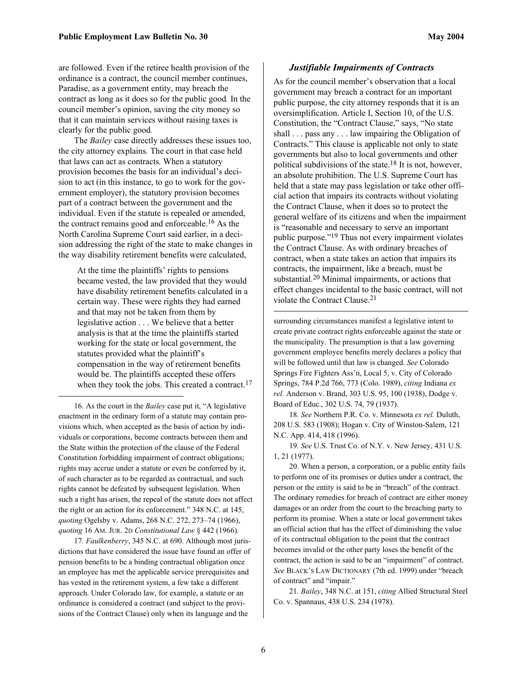are followed. Even if the retiree health provision of the ordinance is a contract, the council member continues, Paradise, as a government entity, may breach the contract as long as it does so for the public good*.* In the council member's opinion, saving the city money so that it can maintain services without raising taxes is clearly for the public good*.* 

The *Bailey* case directly addresses these issues too, the city attorney explains*.* The court in that case held that laws can act as contracts*.* When a statutory provision becomes the basis for an individual's decision to act (in this instance, to go to work for the government employer), the statutory provision becomes part of a contract between the government and the individual. Even if the statute is repealed or amended, the contract remains good and enforceable.<sup>16</sup> As the North Carolina Supreme Court said earlier, in a decision addressing the right of the state to make changes in the way disability retirement benefits were calculated,

At the time the plaintiffs' rights to pensions became vested, the law provided that they would have disability retirement benefits calculated in a certain way. These were rights they had earned and that may not be taken from them by legislative action . . . We believe that a better analysis is that at the time the plaintiffs started working for the state or local government, the statutes provided what the plaintiff's compensation in the way of retirement benefits would be. The plaintiffs accepted these offers when they took the jobs. This created a contract.<sup>17</sup>

<span id="page-5-0"></span>16. As the court in the *Bailey* case put it, "A legislative enactment in the ordinary form of a statute may contain provisions which, when accepted as the basis of action by individuals or corporations, become contracts between them and the State within the protection of the clause of the Federal Constitution forbidding impairment of contract obligations; rights may accrue under a statute or even be conferred by it, of such character as to be regarded as contractual, and such rights cannot be defeated by subsequent legislation. When such a right has arisen, the repeal of the statute does not affect the right or an action for its enforcement." 348 N.C. at 145, *quoting* Ogelsby v. Adams, 268 N.C. 272, 273–74 (1966), *quoting* 16 AM. JUR. 2D *Constitutional Law* § 442 (1966).

 $\overline{a}$ 

<span id="page-5-1"></span>17*. Faulkenberry*, 345 N.C. at 690. Although most jurisdictions that have considered the issue have found an offer of pension benefits to be a binding contractual obligation once an employee has met the applicable service prerequisites and has vested in the retirement system, a few take a different approach. Under Colorado law, for example, a statute or an ordinance is considered a contract (and subject to the provisions of the Contract Clause) only when its language and the

#### *Justifiable Impairments of Contracts*

As for the council member's observation that a local government may breach a contract for an important public purpose, the city attorney responds that it is an oversimplification. Article I, Section 10, of the U.S. Constitution, the "Contract Clause," says, "No state shall . . . pass any . . . law impairing the Obligation of Contracts." This clause is applicable not only to state governments but also to local governments and other political subdivisions of the state.[18 I](#page-5-2)t is not, however, an absolute prohibition. The U.S. Supreme Court has held that a state may pass legislation or take other official action that impairs its contracts without violating the Contract Clause, when it does so to protect the general welfare of its citizens and when the impairment is "reasonable and necessary to serve an important public purpose."[19 T](#page-5-3)hus not every impairment violates the Contract Clause. As with ordinary breaches of contract, when a state takes an action that impairs its contracts, the impairment, like a breach, must be substantial.[20 M](#page-5-4)inimal impairments, or actions that effect changes incidental to the basic contract, will not violate the Contract Clause.[21](#page-5-5)

surrounding circumstances manifest a legislative intent to create private contract rights enforceable against the state or the municipality. The presumption is that a law governing government employee benefits merely declares a policy that will be followed until that law is changed. *See* Colorado Springs Fire Fighters Ass'n, Local 5, v. City of Colorado Springs, 784 P.2d 766, 773 (Colo. 1989), *citing* Indiana *ex rel.* Anderson v. Brand, 303 U.S. 95, 100 (1938), Dodge v. Board of Educ., 302 U.S. 74, 79 (1937).

<span id="page-5-2"></span>18*. See* Northern P.R. Co. v. Minnesota *ex rel.* Duluth, 208 U.S. 583 (1908); Hogan v. City of Winston-Salem, 121 N.C. App. 414, 418 (1996).

<span id="page-5-3"></span>19*. See* U.S. Trust Co. of N.Y. v. New Jersey, 431 U.S. 1, 21 (1977).

<span id="page-5-4"></span>20. When a person, a corporation, or a public entity fails to perform one of its promises or duties under a contract, the person or the entity is said to be in "breach" of the contract. The ordinary remedies for breach of contract are either money damages or an order from the court to the breaching party to perform its promise. When a state or local government takes an official action that has the effect of diminishing the value of its contractual obligation to the point that the contract becomes invalid or the other party loses the benefit of the contract, the action is said to be an "impairment" of contract. *See* BLACK'S LAW DICTIONARY (7th ed. 1999) under "breach of contract" and "impair."

<span id="page-5-5"></span>21*. Bailey*, 348 N.C. at 151, *citing* Allied Structural Steel Co. v. Spannaus, 438 U.S. 234 (1978).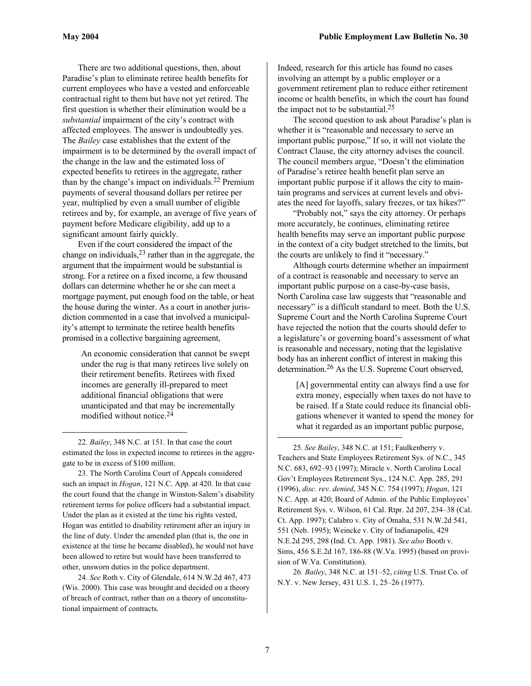There are two additional questions, then, about Paradise's plan to eliminate retiree health benefits for current employees who have a vested and enforceable contractual right to them but have not yet retired. The first question is whether their elimination would be a *substantial* impairment of the city's contract with affected employees. The answer is undoubtedly yes. The *Bailey* case establishes that the extent of the impairment is to be determined by the overall impact of the change in the law and the estimated loss of expected benefits to retirees in the aggregate, rather than by the change's impact on individuals. [22 P](#page-6-0)remium payments of several thousand dollars per retiree per year, multiplied by even a small number of eligible retirees and by, for example, an average of five years of payment before Medicare eligibility, add up to a significant amount fairly quickly.

Even if the court considered the impact of the change on individuals, [23 r](#page-6-1)ather than in the aggregate, the argument that the impairment would be substantial is strong. For a retiree on a fixed income, a few thousand dollars can determine whether he or she can meet a mortgage payment, put enough food on the table, or heat the house during the winter. As a court in another jurisdiction commented in a case that involved a municipality's attempt to terminate the retiree health benefits promised in a collective bargaining agreement,

An economic consideration that cannot be swept under the rug is that many retirees live solely on their retirement benefits. Retirees with fixed incomes are generally ill-prepared to meet additional financial obligations that were unanticipated and that may be incrementally modified without notice.[24](#page-6-2)

<span id="page-6-0"></span> 22*. Bailey*, 348 N.C. at 151. In that case the court estimated the loss in expected income to retirees in the aggregate to be in excess of \$100 million.

<span id="page-6-1"></span>23. The North Carolina Court of Appeals considered such an impact in *Hogan*, 121 N.C. App. at 420. In that case the court found that the change in Winston-Salem's disability retirement terms for police officers had a substantial impact. Under the plan as it existed at the time his rights vested, Hogan was entitled to disability retirement after an injury in the line of duty. Under the amended plan (that is, the one in existence at the time he became disabled), he would not have been allowed to retire but would have been transferred to other, unsworn duties in the police department.

<span id="page-6-2"></span>24*. See* Roth v. City of Glendale, 614 N.W.2d 467, 473 (Wis. 2000). This case was brought and decided on a theory of breach of contract, rather than on a theory of unconstitutional impairment of contracts.

Indeed, research for this article has found no cases involving an attempt by a public employer or a government retirement plan to reduce either retirement income or health benefits, in which the court has found the impact not to be substantial.[25](#page-6-3)

The second question to ask about Paradise's plan is whether it is "reasonable and necessary to serve an important public purpose," If so, it will not violate the Contract Clause, the city attorney advises the council. The council members argue, "Doesn't the elimination of Paradise's retiree health benefit plan serve an important public purpose if it allows the city to maintain programs and services at current levels and obviates the need for layoffs, salary freezes, or tax hikes?"

"Probably not," says the city attorney. Or perhaps more accurately, he continues, eliminating retiree health benefits may serve an important public purpose in the context of a city budget stretched to the limits, but the courts are unlikely to find it "necessary."

Although courts determine whether an impairment of a contract is reasonable and necessary to serve an important public purpose on a case-by-case basis, North Carolina case law suggests that "reasonable and necessary" is a difficult standard to meet. Both the U.S. Supreme Court and the North Carolina Supreme Court have rejected the notion that the courts should defer to a legislature's or governing board's assessment of what is reasonable and necessary, noting that the legislative body has an inherent conflict of interest in making this determination. [26 A](#page-6-4)s the U.S. Supreme Court observed,

[A] governmental entity can always find a use for extra money, especially when taxes do not have to be raised. If a State could reduce its financial obligations whenever it wanted to spend the money for what it regarded as an important public purpose,

<span id="page-6-3"></span>25*. See Bailey*, 348 N.C. at 151; Faulkenberry v. Teachers and State Employees Retirement Sys. of N.C., 345 N.C. 683, 692–93 (1997); Miracle v. North Carolina Local Gov't Employees Retirement Sys., 124 N.C. App. 285, 291 (1996), *disc. rev. denied*, 345 N.C. 754 (1997); *Hogan*, 121 N.C. App. at 420; Board of Admin. of the Public Employees' Retirement Sys. v. Wilson, 61 Cal. Rtpr. 2d 207, 234–38 (Cal. Ct. App. 1997); Calabro v. City of Omaha, 531 N.W.2d 541, 551 (Neb. 1995); Weincke v. City of Indianapolis, 429 N.E.2d 295, 298 (Ind. Ct. App. 1981). *See also* Booth v. Sims, 456 S.E.2d 167, 186-88 (W.Va. 1995) (based on provision of W.Va. Constitution).

<span id="page-6-4"></span>26*. Bailey*, 348 N.C. at 151–52, *citing* U.S. Trust Co. of N.Y. v. New Jersey, 431 U.S. 1, 25–26 (1977).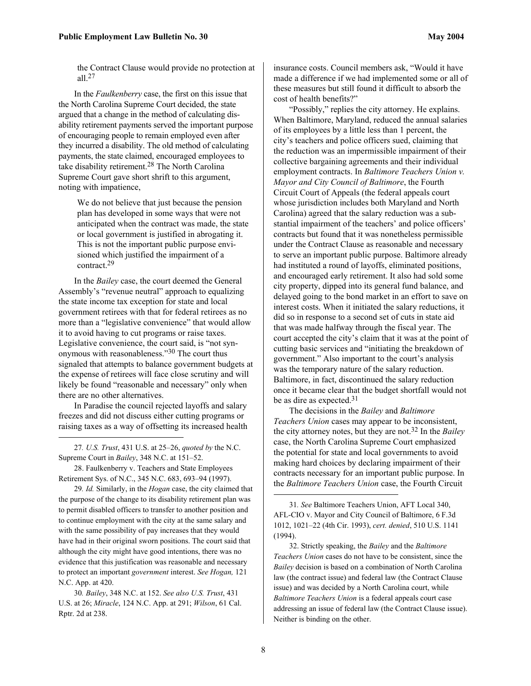the Contract Clause would provide no protection at all.[27](#page-7-0)

In the *Faulkenberry* case, the first on this issue that the North Carolina Supreme Court decided, the state argued that a change in the method of calculating disability retirement payments served the important purpose of encouraging people to remain employed even after they incurred a disability. The old method of calculating payments, the state claimed, encouraged employees to take disability retirement.[28 T](#page-7-1)he North Carolina Supreme Court gave short shrift to this argument, noting with impatience,

We do not believe that just because the pension plan has developed in some ways that were not anticipated when the contract was made, the state or local government is justified in abrogating it. This is not the important public purpose envisioned which justified the impairment of a contract.[29](#page-7-2) 

In the *Bailey* case, the court deemed the General Assembly's "revenue neutral" approach to equalizing the state income tax exception for state and local government retirees with that for federal retirees as no more than a "legislative convenience" that would allow it to avoid having to cut programs or raise taxes. Legislative convenience, the court said, is "not synonymous with reasonableness."[30 T](#page-7-3)he court thus signaled that attempts to balance government budgets at the expense of retirees will face close scrutiny and will likely be found "reasonable and necessary" only when there are no other alternatives.

In Paradise the council rejected layoffs and salary freezes and did not discuss either cutting programs or raising taxes as a way of offsetting its increased health

<span id="page-7-0"></span>27*. U.S. Trust*, 431 U.S. at 25–26, *quoted by* the N.C. Supreme Court in *Bailey*, 348 N.C. at 151–52.

1

<span id="page-7-1"></span>28. Faulkenberry v. Teachers and State Employees Retirement Sys. of N.C., 345 N.C. 683, 693–94 (1997).

<span id="page-7-2"></span>29*. Id.* Similarly, in the *Hogan* case, the city claimed that the purpose of the change to its disability retirement plan was to permit disabled officers to transfer to another position and to continue employment with the city at the same salary and with the same possibility of pay increases that they would have had in their original sworn positions. The court said that although the city might have good intentions, there was no evidence that this justification was reasonable and necessary to protect an important *government* interest. *See Hogan,* 121 N.C. App. at 420.

<span id="page-7-3"></span>30*. Bailey*, 348 N.C. at 152. *See also U.S. Trust*, 431 U.S. at 26; *Miracle*, 124 N.C. App. at 291; *Wilson*, 61 Cal. Rptr. 2d at 238.

insurance costs. Council members ask, "Would it have made a difference if we had implemented some or all of these measures but still found it difficult to absorb the cost of health benefits?"

"Possibly," replies the city attorney. He explains. When Baltimore, Maryland, reduced the annual salaries of its employees by a little less than 1 percent, the city's teachers and police officers sued, claiming that the reduction was an impermissible impairment of their collective bargaining agreements and their individual employment contracts. In *Baltimore Teachers Union v. Mayor and City Council of Baltimore*, the Fourth Circuit Court of Appeals (the federal appeals court whose jurisdiction includes both Maryland and North Carolina) agreed that the salary reduction was a substantial impairment of the teachers' and police officers' contracts but found that it was nonetheless permissible under the Contract Clause as reasonable and necessary to serve an important public purpose. Baltimore already had instituted a round of layoffs, eliminated positions, and encouraged early retirement. It also had sold some city property, dipped into its general fund balance, and delayed going to the bond market in an effort to save on interest costs. When it initiated the salary reductions, it did so in response to a second set of cuts in state aid that was made halfway through the fiscal year. The court accepted the city's claim that it was at the point of cutting basic services and "initiating the breakdown of government." Also important to the court's analysis was the temporary nature of the salary reduction. Baltimore, in fact, discontinued the salary reduction once it became clear that the budget shortfall would not be as dire as expected.<sup>[31](#page-7-4)</sup>

The decisions in the *Bailey* and *Baltimore Teachers Union* cases may appear to be inconsistent, the city attorney notes, but they are not.[32 I](#page-7-5)n the *Bailey* case, the North Carolina Supreme Court emphasized the potential for state and local governments to avoid making hard choices by declaring impairment of their contracts necessary for an important public purpose. In the *Baltimore Teachers Union* case, the Fourth Circuit

<span id="page-7-5"></span>32. Strictly speaking, the *Bailey* and the *Baltimore Teachers Union* cases do not have to be consistent, since the *Bailey* decision is based on a combination of North Carolina law (the contract issue) and federal law (the Contract Clause issue) and was decided by a North Carolina court, while *Baltimore Teachers Union* is a federal appeals court case addressing an issue of federal law (the Contract Clause issue). Neither is binding on the other.

<span id="page-7-4"></span><sup>31</sup>*. See* Baltimore Teachers Union, AFT Local 340, AFL-CIO v. Mayor and City Council of Baltimore, 6 F.3d 1012, 1021–22 (4th Cir. 1993), *cert. denied*, 510 U.S. 1141 (1994).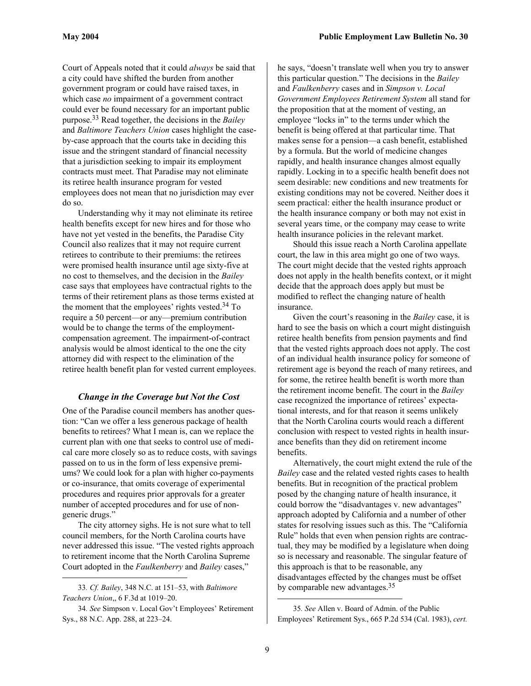<span id="page-8-2"></span>Court of Appeals noted that it could *always* be said that a city could have shifted the burden from another government program or could have raised taxes, in which case *no* impairment of a government contract could ever be found necessary for an important public purpose. [33 R](#page-8-0)ead together, the decisions in the *Bailey* and *Baltimore Teachers Union* cases highlight the caseby-case approach that the courts take in deciding this issue and the stringent standard of financial necessity that a jurisdiction seeking to impair its employment contracts must meet. That Paradise may not eliminate its retiree health insurance program for vested employees does not mean that no jurisdiction may ever do so.

Understanding why it may not eliminate its retiree health benefits except for new hires and for those who have not yet vested in the benefits, the Paradise City Council also realizes that it may not require current retirees to contribute to their premiums: the retirees were promised health insurance until age sixty-five at no cost to themselves, and the decision in the *Bailey* case says that employees have contractual rights to the terms of their retirement plans as those terms existed at the moment that the employees' rights vested.[34 T](#page-8-1)o require a 50 percent—or any—premium contribution would be to change the terms of the employmentcompensation agreement. The impairment-of-contract analysis would be almost identical to the one the city attorney did with respect to the elimination of the retiree health benefit plan for vested current employees.

#### *Change in the Coverage but Not the Cost*

One of the Paradise council members has another question: "Can we offer a less generous package of health benefits to retirees? What I mean is, can we replace the current plan with one that seeks to control use of medical care more closely so as to reduce costs, with savings passed on to us in the form of less expensive premiums? We could look for a plan with higher co-payments or co-insurance, that omits coverage of experimental procedures and requires prior approvals for a greater number of accepted procedures and for use of nongeneric drugs."

The city attorney sighs. He is not sure what to tell council members, for the North Carolina courts have never addressed this issue. "The vested rights approach to retirement income that the North Carolina Supreme Court adopted in the *Faulkenberry* and *Bailey* cases,"

<span id="page-8-0"></span>33*. Cf. Bailey*, 348 N.C. at 151–53, with *Baltimore Teachers Union*,, 6 F.3d at 1019–20.

1

<span id="page-8-1"></span>34*. See* Simpson v. Local Gov't Employees' Retirement Sys., 88 N.C. App. 288, at 223–24.

he says, "doesn't translate well when you try to answer this particular question." The decisions in the *Bailey* and *Faulkenberry* cases and in *Simpson v. Local Government Employees Retirement System* all stand for the proposition that at the moment of vesting, an employee "locks in" to the terms under which the benefit is being offered at that particular time. That makes sense for a pension—a cash benefit, established by a formula. But the world of medicine changes rapidly, and health insurance changes almost equally rapidly. Locking in to a specific health benefit does not seem desirable: new conditions and new treatments for existing conditions may not be covered. Neither does it seem practical: either the health insurance product or the health insurance company or both may not exist in several years time, or the company may cease to write health insurance policies in the relevant market.

Should this issue reach a North Carolina appellate court, the law in this area might go one of two ways. The court might decide that the vested rights approach does not apply in the health benefits context, or it might decide that the approach does apply but must be modified to reflect the changing nature of health insurance.

Given the court's reasoning in the *Bailey* case, it is hard to see the basis on which a court might distinguish retiree health benefits from pension payments and find that the vested rights approach does not apply. The cost of an individual health insurance policy for someone of retirement age is beyond the reach of many retirees, and for some, the retiree health benefit is worth more than the retirement income benefit. The court in the *Bailey* case recognized the importance of retirees' expectational interests, and for that reason it seems unlikely that the North Carolina courts would reach a different conclusion with respect to vested rights in health insurance benefits than they did on retirement income benefits.

Alternatively, the court might extend the rule of the *Bailey* case and the related vested rights cases to health benefits. But in recognition of the practical problem posed by the changing nature of health insurance, it could borrow the "disadvantages v. new advantages" approach adopted by California and a number of other states for resolving issues such as this. The "California Rule" holds that even when pension rights are contractual, they may be modified by a legislature when doing so is necessary and reasonable. The singular feature of this approach is that to be reasonable, any disadvantages effected by the changes must be offset by comparable new advantages.[35](#page-8-2)

<sup>35</sup>*. See* Allen v. Board of Admin. of the Public Employees' Retirement Sys., 665 P.2d 534 (Cal. 1983), *cert.*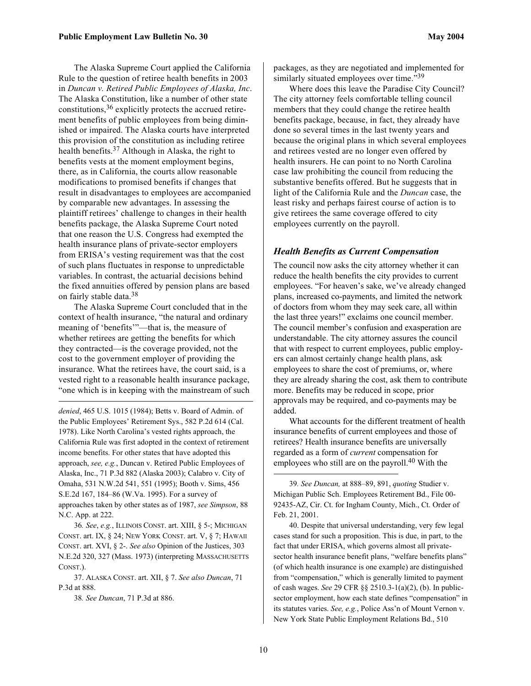<span id="page-9-4"></span>The Alaska Supreme Court applied the California Rule to the question of retiree health benefits in 2003 in *Duncan v. Retired Public Employees of Alaska, Inc*. The Alaska Constitution, like a number of other state constitutions, [36](#page-9-0) explicitly protects the accrued retirement benefits of public employees from being diminished or impaired. The Alaska courts have interpreted this provision of the constitution as including retiree health benefits. [37 A](#page-9-1)lthough in Alaska, the right to benefits vests at the moment employment begins, there, as in California, the courts allow reasonable modifications to promised benefits if changes that result in disadvantages to employees are accompanied by comparable new advantages. In assessing the plaintiff retirees' challenge to changes in their health benefits package, the Alaska Supreme Court noted that one reason the U.S. Congress had exempted the health insurance plans of private-sector employers from ERISA's vesting requirement was that the cost of such plans fluctuates in response to unpredictable variables. In contrast, the actuarial decisions behind the fixed annuities offered by pension plans are based on fairly stable data.<sup>38</sup>

The Alaska Supreme Court concluded that in the context of health insurance, "the natural and ordinary meaning of 'benefits'"—that is, the measure of whether retirees are getting the benefits for which they contracted—is the coverage provided, not the cost to the government employer of providing the insurance. What the retirees have, the court said, is a vested right to a reasonable health insurance package, "one which is in keeping with the mainstream of such

*denied*, 465 U.S. 1015 (1984); Betts v. Board of Admin. of the Public Employees' Retirement Sys., 582 P.2d 614 (Cal. 1978). Like North Carolina's vested rights approach, the California Rule was first adopted in the context of retirement income benefits. For other states that have adopted this approach, *see, e.g.*, Duncan v. Retired Public Employees of Alaska, Inc., 71 P.3d 882 (Alaska 2003); Calabro v. City of Omaha, 531 N.W.2d 541, 551 (1995); Booth v. Sims, 456 S.E.2d 167, 184–86 (W.Va. 1995). For a survey of approaches taken by other states as of 1987, *see Simpson*, 88 N.C. App. at 222.

<span id="page-9-0"></span>36*. See*, *e.g.*, ILLINOIS CONST. art. XIII, § 5-; MICHIGAN CONST. art. IX, § 24; NEW YORK CONST. art. V, § 7; HAWAII CONST. art. XVI, § 2-. *See also* Opinion of the Justices, 303 N.E.2d 320, 327 (Mass. 1973) (interpreting MASSACHUSETTS CONST.).

<span id="page-9-1"></span>37. ALASKA CONST. art. XII, § 7. *See also Duncan*, 71 P.3d at 888.

<span id="page-9-2"></span>38*. See Duncan*, 71 P.3d at 886.

 $\overline{a}$ 

packages, as they are negotiated and implemented for similarly situated employees over time."<sup>[39](#page-9-3)</sup>

Where does this leave the Paradise City Council? The city attorney feels comfortable telling council members that they could change the retiree health benefits package, because, in fact, they already have done so several times in the last twenty years and because the original plans in which several employees and retirees vested are no longer even offered by health insurers. He can point to no North Carolina case law prohibiting the council from reducing the substantive benefits offered. But he suggests that in light of the California Rule and the *Duncan* case, the least risky and perhaps fairest course of action is to give retirees the same coverage offered to city employees currently on the payroll.

#### *Health Benefits as Current Compensation*

The council now asks the city attorney whether it can reduce the health benefits the city provides to current employees. "For heaven's sake, we've already changed plans, increased co-payments, and limited the network of doctors from whom they may seek care, all within the last three years!" exclaims one council member. The council member's confusion and exasperation are understandable. The city attorney assures the council that with respect to current employees, public employers can almost certainly change health plans, ask employees to share the cost of premiums, or, where they are already sharing the cost, ask them to contribute more. Benefits may be reduced in scope, prior approvals may be required, and co-payments may be added.

What accounts for the different treatment of health insurance benefits of current employees and those of retirees? Health insurance benefits are universally regarded as a form of *current* compensation for employees who still are on the payroll.<sup>40</sup> With the

40. Despite that universal understanding, very few legal cases stand for such a proposition. This is due, in part, to the fact that under ERISA, which governs almost all privatesector health insurance benefit plans, "welfare benefits plans" (of which health insurance is one example) are distinguished from "compensation," which is generally limited to payment of cash wages. *See* 29 CFR §§ 2510.3-1(a)(2), (b). In publicsector employment, how each state defines "compensation" in its statutes varies. *See, e.g.*, Police Ass'n of Mount Vernon v. New York State Public Employment Relations Bd., 510

<span id="page-9-3"></span><sup>39</sup>*. See Duncan,* at 888–89, 891, *quoting* Studier v. Michigan Public Sch. Employees Retirement Bd., File 00- 92435-AZ, Cir. Ct. for Ingham County, Mich., Ct. Order of Feb. 21, 2001.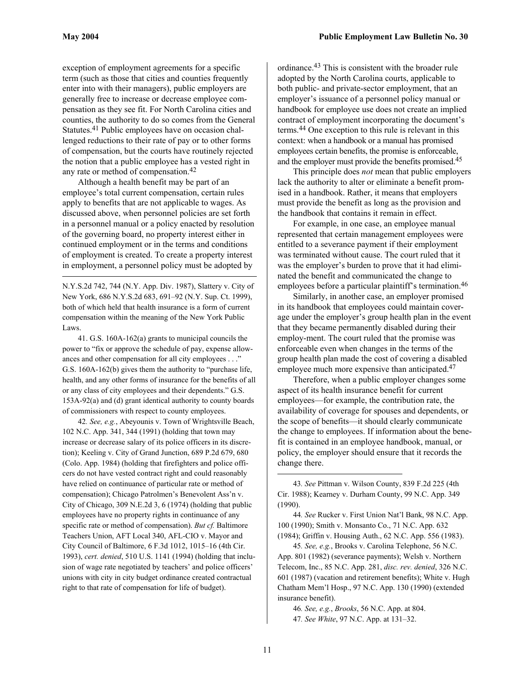$\overline{a}$ 

exception of employment agreements for a specific term (such as those that cities and counties frequently enter into with their managers), public employers are generally free to increase or decrease employee compensation as they see fit. For North Carolina cities and counties, the authority to do so comes from the General Statutes.[41 P](#page-10-0)ublic employees have on occasion challenged reductions to their rate of pay or to other forms of compensation, but the courts have routinely rejected the notion that a public employee has a vested right in any rate or method of compensation. [42](#page-10-1) 

Although a health benefit may be part of an employee's total current compensation, certain rules apply to benefits that are not applicable to wages. As discussed above, when personnel policies are set forth in a personnel manual or a policy enacted by resolution of the governing board, no property interest either in continued employment or in the terms and conditions of employment is created. To create a property interest in employment, a personnel policy must be adopted by

N.Y.S.2d 742, 744 (N.Y. App. Div. 1987), Slattery v. City of New York, 686 N.Y.S.2d 683, 691–92 (N.Y. Sup. Ct. 1999), both of which held that health insurance is a form of current compensation within the meaning of the New York Public Laws.

<span id="page-10-0"></span>41. G.S. 160A-162(a) grants to municipal councils the power to "fix or approve the schedule of pay, expense allowances and other compensation for all city employees . . ." G.S. 160A-162(b) gives them the authority to "purchase life, health, and any other forms of insurance for the benefits of all or any class of city employees and their dependents." G.S. 153A-92(a) and (d) grant identical authority to county boards of commissioners with respect to county employees.

<span id="page-10-1"></span>42*. See, e.g.*, Abeyounis v. Town of Wrightsville Beach, 102 N.C. App. 341, 344 (1991) (holding that town may increase or decrease salary of its police officers in its discretion); Keeling v. City of Grand Junction, 689 P.2d 679, 680 (Colo. App. 1984) (holding that firefighters and police officers do not have vested contract right and could reasonably have relied on continuance of particular rate or method of compensation); Chicago Patrolmen's Benevolent Ass'n v. City of Chicago, 309 N.E.2d 3, 6 (1974) (holding that public employees have no property rights in continuance of any specific rate or method of compensation). *But cf.* Baltimore Teachers Union, AFT Local 340, AFL-CIO v. Mayor and City Council of Baltimore, 6 F.3d 1012, 1015–16 (4th Cir. 1993), *cert. denied*, 510 U.S. 1141 (1994) (holding that inclusion of wage rate negotiated by teachers' and police officers' unions with city in city budget ordinance created contractual right to that rate of compensation for life of budget).

ordinance[.43 T](#page-10-2)his is consistent with the broader rule adopted by the North Carolina courts, applicable to both public- and private-sector employment, that an employer's issuance of a personnel policy manual or handbook for employee use does not create an implied contract of employment incorporating the document's terms.[44 O](#page-10-3)ne exception to this rule is relevant in this context: when a handbook or a manual has promised employees certain benefits, the promise is enforceable, and the employer must provide the benefits promised. [45](#page-10-4) 

This principle does *not* mean that public employers lack the authority to alter or eliminate a benefit promised in a handbook. Rather, it means that employers must provide the benefit as long as the provision and the handbook that contains it remain in effect.

For example, in one case, an employee manual represented that certain management employees were entitled to a severance payment if their employment was terminated without cause. The court ruled that it was the employer's burden to prove that it had eliminated the benefit and communicated the change to employees before a particular plaintiff's termination.<sup>46</sup>

Similarly, in another case, an employer promised in its handbook that employees could maintain coverage under the employer's group health plan in the event that they became permanently disabled during their employ-ment. The court ruled that the promise was enforceable even when changes in the terms of the group health plan made the cost of covering a disabled employee much more expensive than anticipated.<sup>47</sup>

Therefore, when a public employer changes some aspect of its health insurance benefit for current employees—for example, the contribution rate, the availability of coverage for spouses and dependents, or the scope of benefits—it should clearly communicate the change to employees. If information about the benefit is contained in an employee handbook, manual, or policy, the employer should ensure that it records the change there.

<span id="page-10-3"></span>44*. See* Rucker v. First Union Nat'l Bank, 98 N.C. App. 100 (1990); Smith v. Monsanto Co., 71 N.C. App. 632 (1984); Griffin v. Housing Auth., 62 N.C. App. 556 (1983).

<span id="page-10-4"></span>45*. See, e.g.*, Brooks v. Carolina Telephone, 56 N.C. App. 801 (1982) (severance payments); Welsh v. Northern Telecom, Inc., 85 N.C. App. 281, *disc. rev. denied*, 326 N.C. 601 (1987) (vacation and retirement benefits); White v. Hugh Chatham Mem'l Hosp., 97 N.C. App. 130 (1990) (extended insurance benefit).

<span id="page-10-6"></span><span id="page-10-5"></span>46*. See, e.g.*, *Brooks*, 56 N.C. App. at 804. 47*. See White*, 97 N.C. App. at 131–32.

<span id="page-10-2"></span><sup>43</sup>*. See* Pittman v. Wilson County, 839 F.2d 225 (4th Cir. 1988); Kearney v. Durham County, 99 N.C. App. 349 (1990).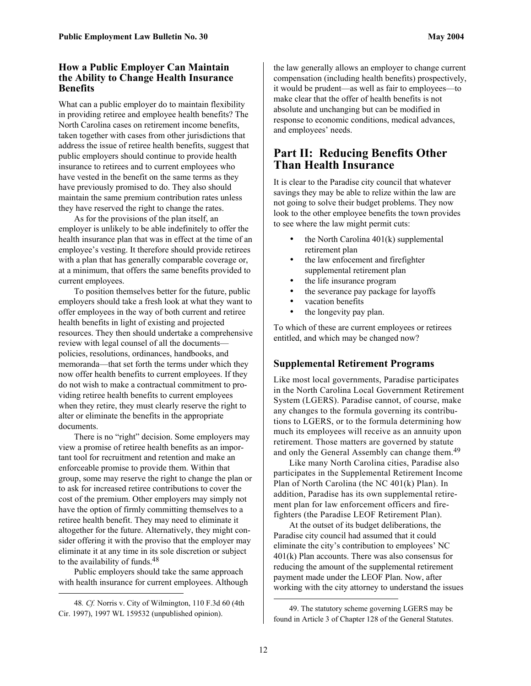#### **How a Public Employer Can Maintain the Ability to Change Health Insurance Benefits**

What can a public employer do to maintain flexibility in providing retiree and employee health benefits? The North Carolina cases on retirement income benefits, taken together with cases from other jurisdictions that address the issue of retiree health benefits, suggest that public employers should continue to provide health insurance to retirees and to current employees who have vested in the benefit on the same terms as they have previously promised to do. They also should maintain the same premium contribution rates unless they have reserved the right to change the rates.

As for the provisions of the plan itself, an employer is unlikely to be able indefinitely to offer the health insurance plan that was in effect at the time of an employee's vesting. It therefore should provide retirees with a plan that has generally comparable coverage or, at a minimum, that offers the same benefits provided to current employees.

To position themselves better for the future, public employers should take a fresh look at what they want to offer employees in the way of both current and retiree health benefits in light of existing and projected resources. They then should undertake a comprehensive review with legal counsel of all the documents policies, resolutions, ordinances, handbooks, and memoranda—that set forth the terms under which they now offer health benefits to current employees. If they do not wish to make a contractual commitment to providing retiree health benefits to current employees when they retire, they must clearly reserve the right to alter or eliminate the benefits in the appropriate documents.

There is no "right" decision. Some employers may view a promise of retiree health benefits as an important tool for recruitment and retention and make an enforceable promise to provide them. Within that group, some may reserve the right to change the plan or to ask for increased retiree contributions to cover the cost of the premium. Other employers may simply not have the option of firmly committing themselves to a retiree health benefit. They may need to eliminate it altogether for the future. Alternatively, they might consider offering it with the proviso that the employer may eliminate it at any time in its sole discretion or subject to the availability of funds.[48](#page-11-0) 

Public employers should take the same approach with health insurance for current employees. Although

 $\overline{a}$ 

the law generally allows an employer to change current compensation (including health benefits) prospectively, it would be prudent—as well as fair to employees—to make clear that the offer of health benefits is not absolute and unchanging but can be modified in response to economic conditions, medical advances, and employees' needs.

# **Part II: Reducing Benefits Other Than Health Insurance**

It is clear to the Paradise city council that whatever savings they may be able to relize within the law are not going to solve their budget problems. They now look to the other employee benefits the town provides to see where the law might permit cuts:

- the North Carolina 401(k) supplemental retirement plan
- the law enfocement and firefighter supplemental retirement plan
- the life insurance program
- the severance pay package for layoffs
- vacation benefits
- the longevity pay plan.

To which of these are current employees or retirees entitled, and which may be changed now?

#### **Supplemental Retirement Programs**

Like most local governments, Paradise participates in the North Carolina Local Government Retirement System (LGERS). Paradise cannot, of course, make any changes to the formula governing its contributions to LGERS, or to the formula determining how much its employees will receive as an annuity upon retirement. Those matters are governed by statute and only the General Assembly can change them.<sup>49</sup>

Like many North Carolina cities, Paradise also participates in the Supplemental Retirement Income Plan of North Carolina (the NC 401(k) Plan). In addition, Paradise has its own supplemental retirement plan for law enforcement officers and firefighters (the Paradise LEOF Retirement Plan).

At the outset of its budget deliberations, the Paradise city council had assumed that it could eliminate the city's contribution to employees' NC 401(k) Plan accounts. There was also consensus for reducing the amount of the supplemental retirement payment made under the LEOF Plan. Now, after working with the city attorney to understand the issues

<span id="page-11-0"></span> <sup>48</sup>*. Cf.* Norris v. City of Wilmington, 110 F.3d 60 (4th Cir. 1997), 1997 WL 159532 (unpublished opinion).

<span id="page-11-1"></span><sup>49.</sup> The statutory scheme governing LGERS may be found in Article 3 of Chapter 128 of the General Statutes.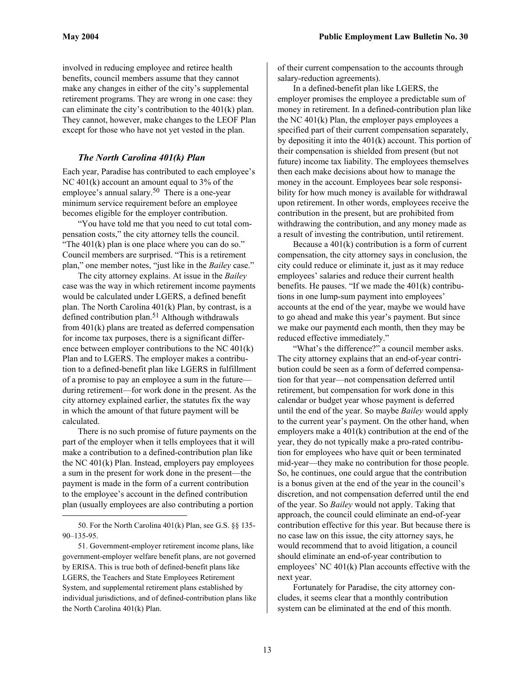involved in reducing employee and retiree health benefits, council members assume that they cannot make any changes in either of the city's supplemental retirement programs. They are wrong in one case: they can eliminate the city's contribution to the 401(k) plan. They cannot, however, make changes to the LEOF Plan except for those who have not yet vested in the plan.

#### *The North Carolina 401(k) Plan*

Each year, Paradise has contributed to each employee's NC 401(k) account an amount equal to 3% of the employee's annual salary.<sup>50</sup> There is a one-year minimum service requirement before an employee becomes eligible for the employer contribution.

"You have told me that you need to cut total compensation costs," the city attorney tells the council. "The 401(k) plan is one place where you can do so." Council members are surprised. "This is a retirement plan," one member notes, "just like in the *Bailey* case."

The city attorney explains. At issue in the *Bailey* case was the way in which retirement income payments would be calculated under LGERS, a defined benefit plan. The North Carolina 401(k) Plan, by contrast, is a defined contribution plan. [51 A](#page-12-1)lthough withdrawals from 401(k) plans are treated as deferred compensation for income tax purposes, there is a significant difference between employer contributions to the NC 401(k) Plan and to LGERS. The employer makes a contribution to a defined-benefit plan like LGERS in fulfillment of a promise to pay an employee a sum in the future during retirement—for work done in the present. As the city attorney explained earlier, the statutes fix the way in which the amount of that future payment will be calculated.

There is no such promise of future payments on the part of the employer when it tells employees that it will make a contribution to a defined-contribution plan like the NC 401(k) Plan. Instead, employers pay employees a sum in the present for work done in the present—the payment is made in the form of a current contribution to the employee's account in the defined contribution plan (usually employees are also contributing a portion

 $\overline{a}$ 

of their current compensation to the accounts through salary-reduction agreements).

In a defined-benefit plan like LGERS, the employer promises the employee a predictable sum of money in retirement. In a defined-contribution plan like the NC 401(k) Plan, the employer pays employees a specified part of their current compensation separately, by depositing it into the 401(k) account. This portion of their compensation is shielded from present (but not future) income tax liability. The employees themselves then each make decisions about how to manage the money in the account. Employees bear sole responsibility for how much money is available for withdrawal upon retirement. In other words, employees receive the contribution in the present, but are prohibited from withdrawing the contribution, and any money made as a result of investing the contribution, until retirement.

Because a 401(k) contribution is a form of current compensation, the city attorney says in conclusion, the city could reduce or eliminate it, just as it may reduce employees' salaries and reduce their current health benefits. He pauses. "If we made the 401(k) contributions in one lump-sum payment into employees' accounts at the end of the year, maybe we would have to go ahead and make this year's payment. But since we make our paymentd each month, then they may be reduced effective immediately."

"What's the difference?" a council member asks. The city attorney explains that an end-of-year contribution could be seen as a form of deferred compensation for that year—not compensation deferred until retirement, but compensation for work done in this calendar or budget year whose payment is deferred until the end of the year. So maybe *Bailey* would apply to the current year's payment. On the other hand, when employers make a 401(k) contribution at the end of the year, they do not typically make a pro-rated contribution for employees who have quit or been terminated mid-year—they make no contribution for those people. So, he continues, one could argue that the contribution is a bonus given at the end of the year in the council's discretion, and not compensation deferred until the end of the year. So *Bailey* would not apply. Taking that approach, the council could eliminate an end-of-year contribution effective for this year. But because there is no case law on this issue, the city attorney says, he would recommend that to avoid litigation, a council should eliminate an end-of-year contribution to employees' NC 401(k) Plan accounts effective with the next year.

Fortunately for Paradise, the city attorney concludes, it seems clear that a monthly contribution system can be eliminated at the end of this month.

<span id="page-12-0"></span><sup>50.</sup> For the North Carolina 401(k) Plan, see G.S. §§ 135- 90–135-95.

<span id="page-12-1"></span><sup>51.</sup> Government-employer retirement income plans, like government-employer welfare benefit plans, are not governed by ERISA. This is true both of defined-benefit plans like LGERS, the Teachers and State Employees Retirement System, and supplemental retirement plans established by individual jurisdictions, and of defined-contribution plans like the North Carolina 401(k) Plan.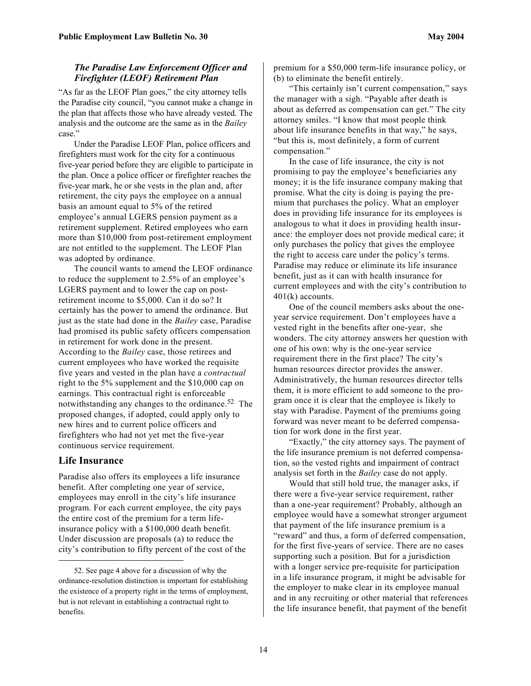#### *The Paradise Law Enforcement Officer and Firefighter (LEOF) Retirement Plan*

"As far as the LEOF Plan goes," the city attorney tells the Paradise city council, "you cannot make a change in the plan that affects those who have already vested. The analysis and the outcome are the same as in the *Bailey* case."

Under the Paradise LEOF Plan, police officers and firefighters must work for the city for a continuous five-year period before they are eligible to participate in the plan. Once a police officer or firefighter reaches the five-year mark, he or she vests in the plan and, after retirement, the city pays the employee on a annual basis an amount equal to 5% of the retired employee's annual LGERS pension payment as a retirement supplement. Retired employees who earn more than \$10,000 from post-retirement employment are not entitled to the supplement. The LEOF Plan was adopted by ordinance.

The council wants to amend the LEOF ordinance to reduce the supplement to 2.5% of an employee's LGERS payment and to lower the cap on postretirement income to \$5,000. Can it do so? It certainly has the power to amend the ordinance. But just as the state had done in the *Bailey* case, Paradise had promised its public safety officers compensation in retirement for work done in the present. According to the *Bailey* case, those retirees and current employees who have worked the requisite five years and vested in the plan have a *contractual* right to the 5% supplement and the \$10,000 cap on earnings. This contractual right is enforceable notwithstanding any changes to the ordinance.<sup>52</sup> The proposed changes, if adopted, could apply only to new hires and to current police officers and firefighters who had not yet met the five-year continuous service requirement.

#### **Life Insurance**

 $\overline{\phantom{a}}$ 

Paradise also offers its employees a life insurance benefit. After completing one year of service, employees may enroll in the city's life insurance program. For each current employee, the city pays the entire cost of the premium for a term lifeinsurance policy with a \$100,000 death benefit. Under discussion are proposals (a) to reduce the city's contribution to fifty percent of the cost of the

premium for a \$50,000 term-life insurance policy, or (b) to eliminate the benefit entirely.

"This certainly isn't current compensation," says the manager with a sigh. "Payable after death is about as deferred as compensation can get." The city attorney smiles. "I know that most people think about life insurance benefits in that way," he says, "but this is, most definitely, a form of current compensation."

In the case of life insurance, the city is not promising to pay the employee's beneficiaries any money; it is the life insurance company making that promise. What the city is doing is paying the premium that purchases the policy. What an employer does in providing life insurance for its employees is analogous to what it does in providing health insurance: the employer does not provide medical care; it only purchases the policy that gives the employee the right to access care under the policy's terms. Paradise may reduce or eliminate its life insurance benefit, just as it can with health insurance for current employees and with the city's contribution to 401(k) accounts.

One of the council members asks about the oneyear service requirement. Don't employees have a vested right in the benefits after one-year, she wonders. The city attorney answers her question with one of his own: why is the one-year service requirement there in the first place? The city's human resources director provides the answer. Administratively, the human resources director tells them, it is more efficient to add someone to the program once it is clear that the employee is likely to stay with Paradise. Payment of the premiums going forward was never meant to be deferred compensation for work done in the first year.

"Exactly," the city attorney says. The payment of the life insurance premium is not deferred compensation, so the vested rights and impairment of contract analysis set forth in the *Bailey* case do not apply.

Would that still hold true, the manager asks, if there were a five-year service requirement, rather than a one-year requirement? Probably, although an employee would have a somewhat stronger argument that payment of the life insurance premium is a "reward" and thus, a form of deferred compensation, for the first five-years of service. There are no cases supporting such a position. But for a jurisdiction with a longer service pre-requisite for participation in a life insurance program, it might be advisable for the employer to make clear in its employee manual and in any recruiting or other material that references the life insurance benefit, that payment of the benefit

<span id="page-13-0"></span><sup>52.</sup> See page 4 above for a discussion of why the ordinance-resolution distinction is important for establishing the existence of a property right in the terms of employment, but is not relevant in establishing a contractual right to benefits.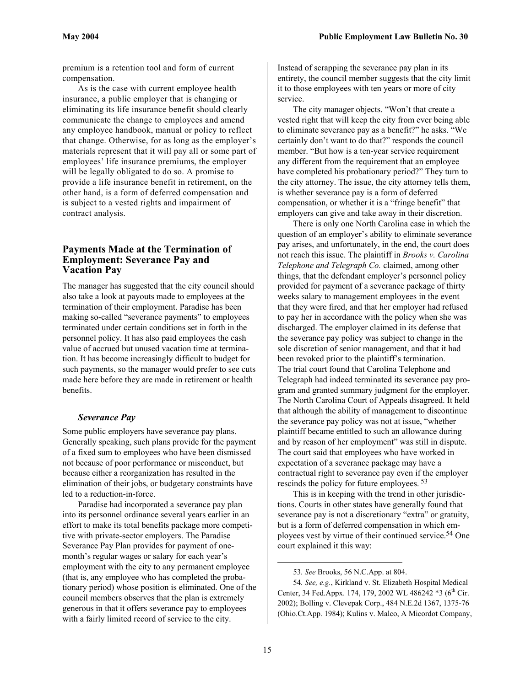<span id="page-14-1"></span>premium is a retention tool and form of current compensation.

As is the case with current employee health insurance, a public employer that is changing or eliminating its life insurance benefit should clearly communicate the change to employees and amend any employee handbook, manual or policy to reflect that change. Otherwise, for as long as the employer's materials represent that it will pay all or some part of employees' life insurance premiums, the employer will be legally obligated to do so. A promise to provide a life insurance benefit in retirement, on the other hand, is a form of deferred compensation and is subject to a vested rights and impairment of contract analysis.

#### **Payments Made at the Termination of Employment: Severance Pay and Vacation Pay**

The manager has suggested that the city council should also take a look at payouts made to employees at the termination of their employment. Paradise has been making so-called "severance payments" to employees terminated under certain conditions set in forth in the personnel policy. It has also paid employees the cash value of accrued but unused vacation time at termination. It has become increasingly difficult to budget for such payments, so the manager would prefer to see cuts made here before they are made in retirement or health benefits.

#### *Severance Pay*

Some public employers have severance pay plans. Generally speaking, such plans provide for the payment of a fixed sum to employees who have been dismissed not because of poor performance or misconduct, but because either a reorganization has resulted in the elimination of their jobs, or budgetary constraints have led to a reduction-in-force.

Paradise had incorporated a severance pay plan into its personnel ordinance several years earlier in an effort to make its total benefits package more competitive with private-sector employers. The Paradise Severance Pay Plan provides for payment of onemonth's regular wages or salary for each year's employment with the city to any permanent employee (that is, any employee who has completed the probationary period) whose position is eliminated. One of the council members observes that the plan is extremely generous in that it offers severance pay to employees with a fairly limited record of service to the city.

Instead of scrapping the severance pay plan in its entirety, the council member suggests that the city limit it to those employees with ten years or more of city service.

The city manager objects. "Won't that create a vested right that will keep the city from ever being able to eliminate severance pay as a benefit?" he asks. "We certainly don't want to do that?" responds the council member. "But how is a ten-year service requirement any different from the requirement that an employee have completed his probationary period?" They turn to the city attorney. The issue, the city attorney tells them, is whether severance pay is a form of deferred compensation, or whether it is a "fringe benefit" that employers can give and take away in their discretion.

There is only one North Carolina case in which the question of an employer's ability to eliminate severance pay arises, and unfortunately, in the end, the court does not reach this issue. The plaintiff in *Brooks v. Carolina Telephone and Telegraph Co.* claimed, among other things, that the defendant employer's personnel policy provided for payment of a severance package of thirty weeks salary to management employees in the event that they were fired, and that her employer had refused to pay her in accordance with the policy when she was discharged. The employer claimed in its defense that the severance pay policy was subject to change in the sole discretion of senior management, and that it had been revoked prior to the plaintiff's termination. The trial court found that Carolina Telephone and Telegraph had indeed terminated its severance pay program and granted summary judgment for the employer. The North Carolina Court of Appeals disagreed. It held that although the ability of management to discontinue the severance pay policy was not at issue, "whether plaintiff became entitled to such an allowance during and by reason of her employment" was still in dispute. The court said that employees who have worked in expectation of a severance package may have a contractual right to severance pay even if the employer rescinds the policy for future employees. [53](#page-14-0)

This is in keeping with the trend in other jurisdictions. Courts in other states have generally found that severance pay is not a discretionary "extra" or gratuity, but is a form of deferred compensation in which employees vest by virtue of their continued service.<sup>54</sup> One court explained it this way:

54*. See, e.g.*, Kirkland v. St. Elizabeth Hospital Medical Center, 34 Fed.Appx. 174, 179, 2002 WL 486242  $*3$  (6<sup>th</sup> Cir. 2002); Bolling v. Clevepak Corp., 484 N.E.2d 1367, 1375-76 (Ohio.Ct.App. 1984); Kulins v. Malco, A Micordot Company,

<span id="page-14-0"></span><sup>53</sup>*. See* Brooks, 56 N.C.App. at 804.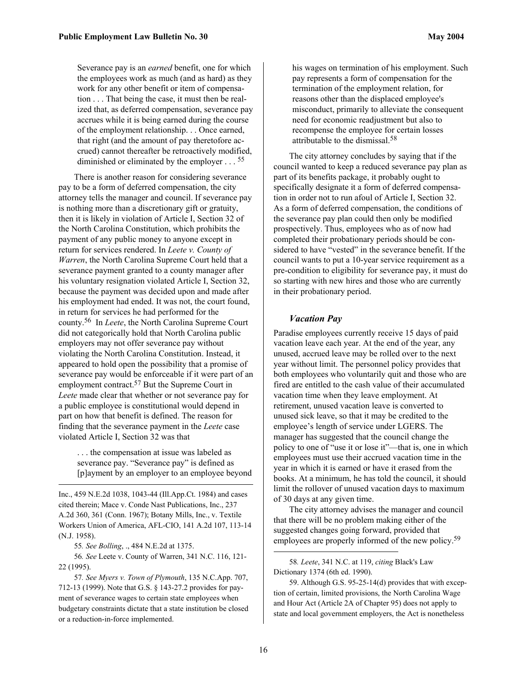<span id="page-15-4"></span>Severance pay is an *earned* benefit, one for which the employees work as much (and as hard) as they work for any other benefit or item of compensation . . . That being the case, it must then be realized that, as deferred compensation, severance pay accrues while it is being earned during the course of the employment relationship. . . Once earned, that right (and the amount of pay theretofore accrued) cannot thereafter be retroactively modified, diminished or eliminated by the employer . . . [55](#page-15-0)

There is another reason for considering severance pay to be a form of deferred compensation, the city attorney tells the manager and council. If severance pay is nothing more than a discretionary gift or gratuity, then it is likely in violation of Article I, Section 32 of the North Carolina Constitution, which prohibits the payment of any public money to anyone except in return for services rendered. In *Leete v. County of Warren*, the North Carolina Supreme Court held that a severance payment granted to a county manager after his voluntary resignation violated Article I, Section 32, because the payment was decided upon and made after his employment had ended. It was not, the court found, in return for services he had performed for the county.[56](#page-15-1) In *Leete*, the North Carolina Supreme Court did not categorically hold that North Carolina public employers may not offer severance pay without violating the North Carolina Constitution. Instead, it appeared to hold open the possibility that a promise of severance pay would be enforceable if it were part of an employment contract.<sup>57</sup> But the Supreme Court in *Leete* made clear that whether or not severance pay for a public employee is constitutional would depend in part on how that benefit is defined. The reason for finding that the severance payment in the *Leete* case violated Article I, Section 32 was that

. . . the compensation at issue was labeled as severance pay. "Severance pay" is defined as [p]ayment by an employer to an employee beyond

Inc., 459 N.E.2d 1038, 1043-44 (Ill.App.Ct. 1984) and cases cited therein; Mace v. Conde Nast Publications, Inc., 237 A.2d 360, 361 (Conn. 1967); Botany Mills, Inc., v. Textile Workers Union of America, AFL-CIO, 141 A.2d 107, 113-14 (N.J. 1958).

<span id="page-15-1"></span><span id="page-15-0"></span>55*. See Bolling*, ., 484 N.E.2d at 1375.

1

56*. See* Leete v. County of Warren, 341 N.C. 116, 121- 22 (1995).

<span id="page-15-2"></span>57*. See Myers v. Town of Plymouth*, 135 N.C.App. 707, 712-13 (1999). Note that G.S. § 143-27.2 provides for payment of severance wages to certain state employees when budgetary constraints dictate that a state institution be closed or a reduction-in-force implemented.

his wages on termination of his employment. Such pay represents a form of compensation for the termination of the employment relation, for reasons other than the displaced employee's misconduct, primarily to alleviate the consequent need for economic readjustment but also to recompense the employee for certain losses attributable to the dismissal.[58](#page-15-3)

The city attorney concludes by saying that if the council wanted to keep a reduced severance pay plan as part of its benefits package, it probably ought to specifically designate it a form of deferred compensation in order not to run afoul of Article I, Section 32. As a form of deferred compensation, the conditions of the severance pay plan could then only be modified prospectively. Thus, employees who as of now had completed their probationary periods should be considered to have "vested" in the severance benefit. If the council wants to put a 10-year service requirement as a pre-condition to eligibility for severance pay, it must do so starting with new hires and those who are currently in their probationary period.

#### *Vacation Pay*

Paradise employees currently receive 15 days of paid vacation leave each year. At the end of the year, any unused, accrued leave may be rolled over to the next year without limit. The personnel policy provides that both employees who voluntarily quit and those who are fired are entitled to the cash value of their accumulated vacation time when they leave employment. At retirement, unused vacation leave is converted to unused sick leave, so that it may be credited to the employee's length of service under LGERS. The manager has suggested that the council change the policy to one of "use it or lose it"—that is, one in which employees must use their accrued vacation time in the year in which it is earned or have it erased from the books. At a minimum, he has told the council, it should limit the rollover of unused vacation days to maximum of 30 days at any given time.

The city attorney advises the manager and council that there will be no problem making either of the suggested changes going forward, provided that employees are properly informed of the new policy.<sup>[59](#page-15-4)</sup>

<span id="page-15-3"></span><sup>58</sup>*. Leete*, 341 N.C. at 119, *citing* Black's Law Dictionary 1374 (6th ed. 1990).

<sup>59.</sup> Although G.S. 95-25-14(d) provides that with exception of certain, limited provisions, the North Carolina Wage and Hour Act (Article 2A of Chapter 95) does not apply to state and local government employers, the Act is nonetheless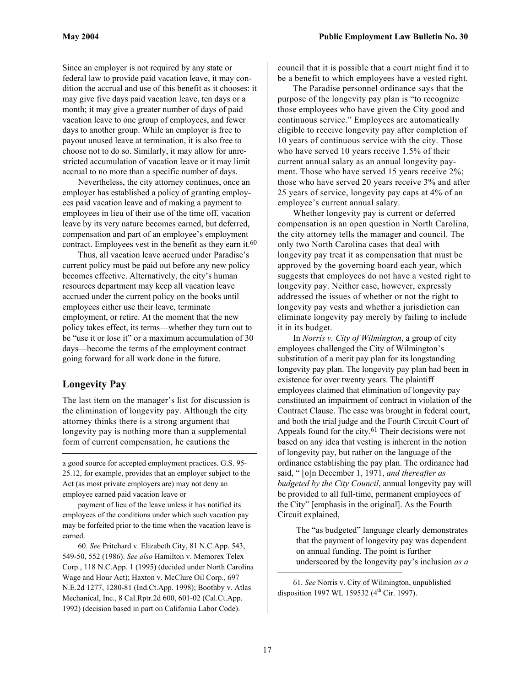Since an employer is not required by any state or federal law to provide paid vacation leave, it may condition the accrual and use of this benefit as it chooses: it may give five days paid vacation leave, ten days or a month; it may give a greater number of days of paid vacation leave to one group of employees, and fewer days to another group. While an employer is free to payout unused leave at termination, it is also free to choose not to do so. Similarly, it may allow for unrestricted accumulation of vacation leave or it may limit accrual to no more than a specific number of days.

Nevertheless, the city attorney continues, once an employer has established a policy of granting employees paid vacation leave and of making a payment to employees in lieu of their use of the time off, vacation leave by its very nature becomes earned, but deferred, compensation and part of an employee's employment contract. Employees vest in the benefit as they earn it.<sup>60</sup>

Thus, all vacation leave accrued under Paradise's current policy must be paid out before any new policy becomes effective. Alternatively, the city's human resources department may keep all vacation leave accrued under the current policy on the books until employees either use their leave, terminate employment, or retire. At the moment that the new policy takes effect, its terms—whether they turn out to be "use it or lose it" or a maximum accumulation of 30 days—become the terms of the employment contract going forward for all work done in the future.

## **Longevity Pay**

 $\overline{a}$ 

The last item on the manager's list for discussion is the elimination of longevity pay. Although the city attorney thinks there is a strong argument that longevity pay is nothing more than a supplemental form of current compensation, he cautions the

a good source for accepted employment practices. G.S. 95- 25.12, for example, provides that an employer subject to the Act (as most private employers are) may not deny an employee earned paid vacation leave or

payment of lieu of the leave unless it has notified its employees of the conditions under which such vacation pay may be forfeited prior to the time when the vacation leave is earned.

<span id="page-16-0"></span>60*. See* Pritchard v. Elizabeth City, 81 N.C.App. 543, 549-50, 552 (1986). *See also* Hamilton v. Memorex Telex Corp., 118 N.C.App. 1 (1995) (decided under North Carolina Wage and Hour Act); Haxton v. McClure Oil Corp., 697 N.E.2d 1277, 1280-81 (Ind.Ct.App. 1998); Boothby v. Atlas Mechanical, Inc., 8 Cal.Rptr.2d 600, 601-02 (Cal.Ct.App. 1992) (decision based in part on California Labor Code).

council that it is possible that a court might find it to be a benefit to which employees have a vested right.

The Paradise personnel ordinance says that the purpose of the longevity pay plan is "to recognize those employees who have given the City good and continuous service." Employees are automatically eligible to receive longevity pay after completion of 10 years of continuous service with the city. Those who have served 10 years receive 1.5% of their current annual salary as an annual longevity payment. Those who have served 15 years receive 2%; those who have served 20 years receive 3% and after 25 years of service, longevity pay caps at 4% of an employee's current annual salary.

Whether longevity pay is current or deferred compensation is an open question in North Carolina, the city attorney tells the manager and council. The only two North Carolina cases that deal with longevity pay treat it as compensation that must be approved by the governing board each year, which suggests that employees do not have a vested right to longevity pay. Neither case, however, expressly addressed the issues of whether or not the right to longevity pay vests and whether a jurisdiction can eliminate longevity pay merely by failing to include it in its budget.

In *Norris v. City of Wilmington*, a group of city employees challenged the City of Wilmington's substitution of a merit pay plan for its longstanding longevity pay plan. The longevity pay plan had been in existence for over twenty years. The plaintiff employees claimed that elimination of longevity pay constituted an impairment of contract in violation of the Contract Clause. The case was brought in federal court, and both the trial judge and the Fourth Circuit Court of Appeals found for the city.<sup>61</sup> Their decisions were not based on any idea that vesting is inherent in the notion of longevity pay, but rather on the language of the ordinance establishing the pay plan. The ordinance had said, " [o]n December 1, 1971, *and thereafter as budgeted by the City Council*, annual longevity pay will be provided to all full-time, permanent employees of the City" [emphasis in the original]. As the Fourth Circuit explained,

The "as budgeted" language clearly demonstrates that the payment of longevity pay was dependent on annual funding. The point is further underscored by the longevity pay's inclusion *as a* 

<span id="page-16-1"></span><sup>61</sup>*. See* Norris v. City of Wilmington, unpublished disposition 1997 WL 159532 (4<sup>th</sup> Cir. 1997).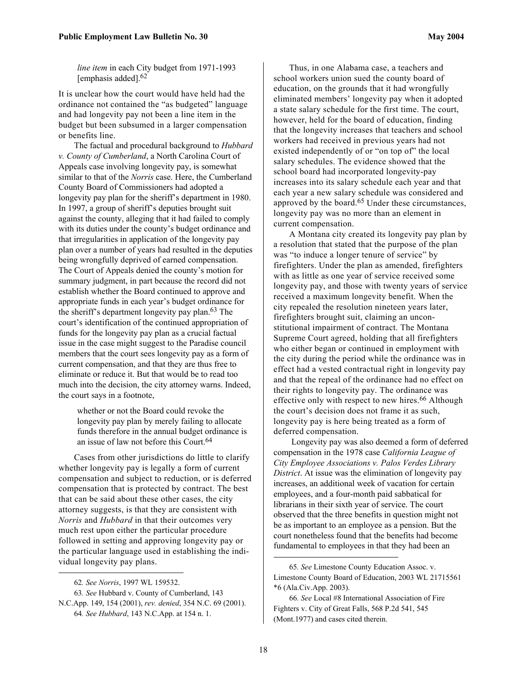*line item* in each City budget from 1971-1993 [emphasis added].<sup>[62](#page-17-0)</sup>

It is unclear how the court would have held had the ordinance not contained the "as budgeted" language and had longevity pay not been a line item in the budget but been subsumed in a larger compensation or benefits line.

The factual and procedural background to *Hubbard v. County of Cumberland*, a North Carolina Court of Appeals case involving longevity pay, is somewhat similar to that of the *Norris* case. Here, the Cumberland County Board of Commissioners had adopted a longevity pay plan for the sheriff's department in 1980. In 1997, a group of sheriff's deputies brought suit against the county, alleging that it had failed to comply with its duties under the county's budget ordinance and that irregularities in application of the longevity pay plan over a number of years had resulted in the deputies being wrongfully deprived of earned compensation. The Court of Appeals denied the county's motion for summary judgment, in part because the record did not establish whether the Board continued to approve and appropriate funds in each year's budget ordinance for the sheriff's department longevity pay plan. [63 T](#page-17-1)he court's identification of the continued appropriation of funds for the longevity pay plan as a crucial factual issue in the case might suggest to the Paradise council members that the court sees longevity pay as a form of current compensation, and that they are thus free to eliminate or reduce it. But that would be to read too much into the decision, the city attorney warns. Indeed, the court says in a footnote,

whether or not the Board could revoke the longevity pay plan by merely failing to allocate funds therefore in the annual budget ordinance is an issue of law not before this Court.[64](#page-17-2)

Cases from other jurisdictions do little to clarify whether longevity pay is legally a form of current compensation and subject to reduction, or is deferred compensation that is protected by contract. The best that can be said about these other cases, the city attorney suggests, is that they are consistent with *Norris* and *Hubbard* in that their outcomes very much rest upon either the particular procedure followed in setting and approving longevity pay or the particular language used in establishing the individual longevity pay plans.

1

Thus, in one Alabama case, a teachers and school workers union sued the county board of education, on the grounds that it had wrongfully eliminated members' longevity pay when it adopted a state salary schedule for the first time. The court, however, held for the board of education, finding that the longevity increases that teachers and school workers had received in previous years had not existed independently of or "on top of" the local salary schedules. The evidence showed that the school board had incorporated longevity-pay increases into its salary schedule each year and that each year a new salary schedule was considered and approved by the board.[65 U](#page-17-3)nder these circumstances, longevity pay was no more than an element in current compensation.

A Montana city created its longevity pay plan by a resolution that stated that the purpose of the plan was "to induce a longer tenure of service" by firefighters. Under the plan as amended, firefighters with as little as one year of service received some longevity pay, and those with twenty years of service received a maximum longevity benefit. When the city repealed the resolution nineteen years later, firefighters brought suit, claiming an unconstitutional impairment of contract. The Montana Supreme Court agreed, holding that all firefighters who either began or continued in employment with the city during the period while the ordinance was in effect had a vested contractual right in longevity pay and that the repeal of the ordinance had no effect on their rights to longevity pay. The ordinance was effective only with respect to new hires.<sup>66</sup> Although the court's decision does not frame it as such, longevity pay is here being treated as a form of deferred compensation.

 Longevity pay was also deemed a form of deferred compensation in the 1978 case *California League of City Employee Associations v. Palos Verdes Library District*. At issue was the elimination of longevity pay increases, an additional week of vacation for certain employees, and a four-month paid sabbatical for librarians in their sixth year of service. The court observed that the three benefits in question might not be as important to an employee as a pension. But the court nonetheless found that the benefits had become fundamental to employees in that they had been an

<span id="page-17-2"></span><span id="page-17-1"></span><span id="page-17-0"></span><sup>62</sup>*. See Norris*, 1997 WL 159532.

<sup>63</sup>*. See* Hubbard v. County of Cumberland, 143 N.C.App. 149, 154 (2001), *rev. denied*, 354 N.C. 69 (2001). 64*. See Hubbard*, 143 N.C.App. at 154 n. 1.

<span id="page-17-3"></span><sup>65</sup>*. See* Limestone County Education Assoc. v. Limestone County Board of Education, 2003 WL 21715561 \*6 (Ala.Civ.App. 2003).

<span id="page-17-4"></span><sup>66</sup>*. See* Local #8 International Association of Fire Fighters v. City of Great Falls, 568 P.2d 541, 545 (Mont.1977) and cases cited therein.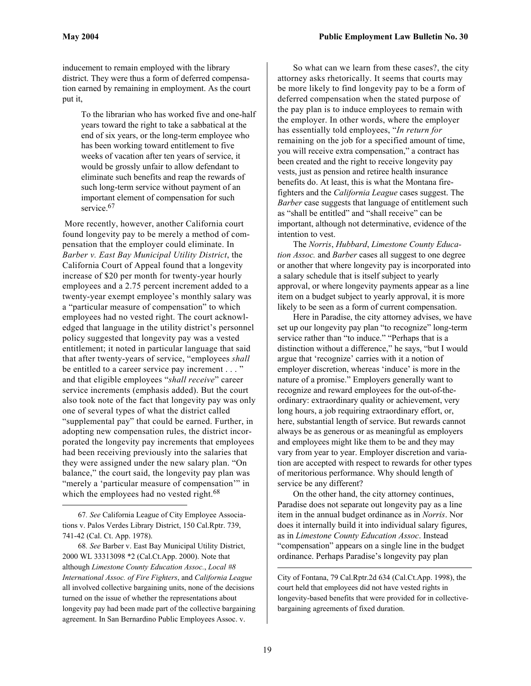inducement to remain employed with the library district. They were thus a form of deferred compensation earned by remaining in employment. As the court put it,

To the librarian who has worked five and one-half years toward the right to take a sabbatical at the end of six years, or the long-term employee who has been working toward entitlement to five weeks of vacation after ten years of service, it would be grossly unfair to allow defendant to eliminate such benefits and reap the rewards of such long-term service without payment of an important element of compensation for such service.<sup>[67](#page-18-0)</sup>

 More recently, however, another California court found longevity pay to be merely a method of compensation that the employer could eliminate. In *Barber v. East Bay Municipal Utility District*, the California Court of Appeal found that a longevity increase of \$20 per month for twenty-year hourly employees and a 2.75 percent increment added to a twenty-year exempt employee's monthly salary was a "particular measure of compensation" to which employees had no vested right. The court acknowledged that language in the utility district's personnel policy suggested that longevity pay was a vested entitlement; it noted in particular language that said that after twenty-years of service, "employees *shall* be entitled to a career service pay increment . . . " and that eligible employees "*shall receive*" career service increments (emphasis added). But the court also took note of the fact that longevity pay was only one of several types of what the district called "supplemental pay" that could be earned. Further, in adopting new compensation rules, the district incorporated the longevity pay increments that employees had been receiving previously into the salaries that they were assigned under the new salary plan. "On balance," the court said, the longevity pay plan was "merely a 'particular measure of compensation'" in which the employees had no vested right.<sup>[68](#page-18-1)</sup>

1

<span id="page-18-1"></span>68*. See* Barber v. East Bay Municipal Utility District, 2000 WL 33313098 \*2 (Cal.Ct.App. 2000). Note that although *Limestone County Education Assoc.*, *Local #8 International Assoc. of Fire Fighters*, and *California League* all involved collective bargaining units, none of the decisions turned on the issue of whether the representations about longevity pay had been made part of the collective bargaining agreement. In San Bernardino Public Employees Assoc. v.

So what can we learn from these cases?, the city attorney asks rhetorically. It seems that courts may be more likely to find longevity pay to be a form of deferred compensation when the stated purpose of the pay plan is to induce employees to remain with the employer. In other words, where the employer has essentially told employees, "*In return for* remaining on the job for a specified amount of time, you will receive extra compensation," a contract has been created and the right to receive longevity pay vests, just as pension and retiree health insurance benefits do. At least, this is what the Montana firefighters and the *California League* cases suggest. The *Barber* case suggests that language of entitlement such as "shall be entitled" and "shall receive" can be important, although not determinative, evidence of the intention to vest.

The *Norris*, *Hubbard*, *Limestone County Education Assoc.* and *Barber* cases all suggest to one degree or another that where longevity pay is incorporated into a salary schedule that is itself subject to yearly approval, or where longevity payments appear as a line item on a budget subject to yearly approval, it is more likely to be seen as a form of current compensation.

Here in Paradise, the city attorney advises, we have set up our longevity pay plan "to recognize" long-term service rather than "to induce." "Perhaps that is a distinction without a difference," he says, "but I would argue that 'recognize' carries with it a notion of employer discretion, whereas 'induce' is more in the nature of a promise." Employers generally want to recognize and reward employees for the out-of-theordinary: extraordinary quality or achievement, very long hours, a job requiring extraordinary effort, or, here, substantial length of service. But rewards cannot always be as generous or as meaningful as employers and employees might like them to be and they may vary from year to year. Employer discretion and variation are accepted with respect to rewards for other types of meritorious performance. Why should length of service be any different?

On the other hand, the city attorney continues, Paradise does not separate out longevity pay as a line item in the annual budget ordinance as in *Norris*. Nor does it internally build it into individual salary figures, as in *Limestone County Education Assoc*. Instead "compensation" appears on a single line in the budget ordinance. Perhaps Paradise's longevity pay plan

City of Fontana, 79 Cal.Rptr.2d 634 (Cal.Ct.App. 1998), the court held that employees did not have vested rights in longevity-based benefits that were provided for in collectivebargaining agreements of fixed duration.

<span id="page-18-0"></span><sup>67</sup>*. See* California League of City Employee Associations v. Palos Verdes Library District, 150 Cal.Rptr. 739, 741-42 (Cal. Ct. App. 1978).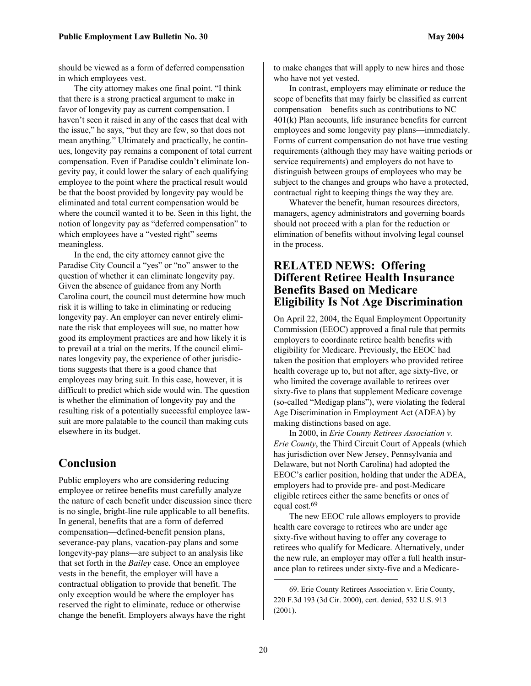should be viewed as a form of deferred compensation in which employees vest.

The city attorney makes one final point. "I think that there is a strong practical argument to make in favor of longevity pay as current compensation. I haven't seen it raised in any of the cases that deal with the issue," he says, "but they are few, so that does not mean anything." Ultimately and practically, he continues, longevity pay remains a component of total current compensation. Even if Paradise couldn't eliminate longevity pay, it could lower the salary of each qualifying employee to the point where the practical result would be that the boost provided by longevity pay would be eliminated and total current compensation would be where the council wanted it to be. Seen in this light, the notion of longevity pay as "deferred compensation" to which employees have a "vested right" seems meaningless.

In the end, the city attorney cannot give the Paradise City Council a "yes" or "no" answer to the question of whether it can eliminate longevity pay. Given the absence of guidance from any North Carolina court, the council must determine how much risk it is willing to take in eliminating or reducing longevity pay. An employer can never entirely eliminate the risk that employees will sue, no matter how good its employment practices are and how likely it is to prevail at a trial on the merits. If the council eliminates longevity pay, the experience of other jurisdictions suggests that there is a good chance that employees may bring suit. In this case, however, it is difficult to predict which side would win. The question is whether the elimination of longevity pay and the resulting risk of a potentially successful employee lawsuit are more palatable to the council than making cuts elsewhere in its budget.

# **Conclusion**

Public employers who are considering reducing employee or retiree benefits must carefully analyze the nature of each benefit under discussion since there is no single, bright-line rule applicable to all benefits. In general, benefits that are a form of deferred compensation—defined-benefit pension plans, severance-pay plans, vacation-pay plans and some longevity-pay plans—are subject to an analysis like that set forth in the *Bailey* case. Once an employee vests in the benefit, the employer will have a contractual obligation to provide that benefit. The only exception would be where the employer has reserved the right to eliminate, reduce or otherwise change the benefit. Employers always have the right

to make changes that will apply to new hires and those who have not yet vested.

In contrast, employers may eliminate or reduce the scope of benefits that may fairly be classified as current compensation—benefits such as contributions to NC 401(k) Plan accounts, life insurance benefits for current employees and some longevity pay plans—immediately. Forms of current compensation do not have true vesting requirements (although they may have waiting periods or service requirements) and employers do not have to distinguish between groups of employees who may be subject to the changes and groups who have a protected, contractual right to keeping things the way they are.

Whatever the benefit, human resources directors, managers, agency administrators and governing boards should not proceed with a plan for the reduction or elimination of benefits without involving legal counsel in the process.

# **RELATED NEWS: Offering Different Retiree Health Insurance Benefits Based on Medicare Eligibility Is Not Age Discrimination**

On April 22, 2004, the Equal Employment Opportunity Commission (EEOC) approved a final rule that permits employers to coordinate retiree health benefits with eligibility for Medicare. Previously, the EEOC had taken the position that employers who provided retiree health coverage up to, but not after, age sixty-five, or who limited the coverage available to retirees over sixty-five to plans that supplement Medicare coverage (so-called "Medigap plans"), were violating the federal Age Discrimination in Employment Act (ADEA) by making distinctions based on age.

In 2000, in *Erie County Retirees Association v. Erie County*, the Third Circuit Court of Appeals (which has jurisdiction over New Jersey, Pennsylvania and Delaware, but not North Carolina) had adopted the EEOC's earlier position, holding that under the ADEA, employers had to provide pre- and post-Medicare eligible retirees either the same benefits or ones of equal cost. [69](#page-19-0)

The new EEOC rule allows employers to provide health care coverage to retirees who are under age sixty-five without having to offer any coverage to retirees who qualify for Medicare. Alternatively, under the new rule, an employer may offer a full health insurance plan to retirees under sixty-five and a Medicare-

<span id="page-19-0"></span><sup>69.</sup> Erie County Retirees Association v. Erie County, 220 F.3d 193 (3d Cir. 2000), cert. denied, 532 U.S. 913 (2001).